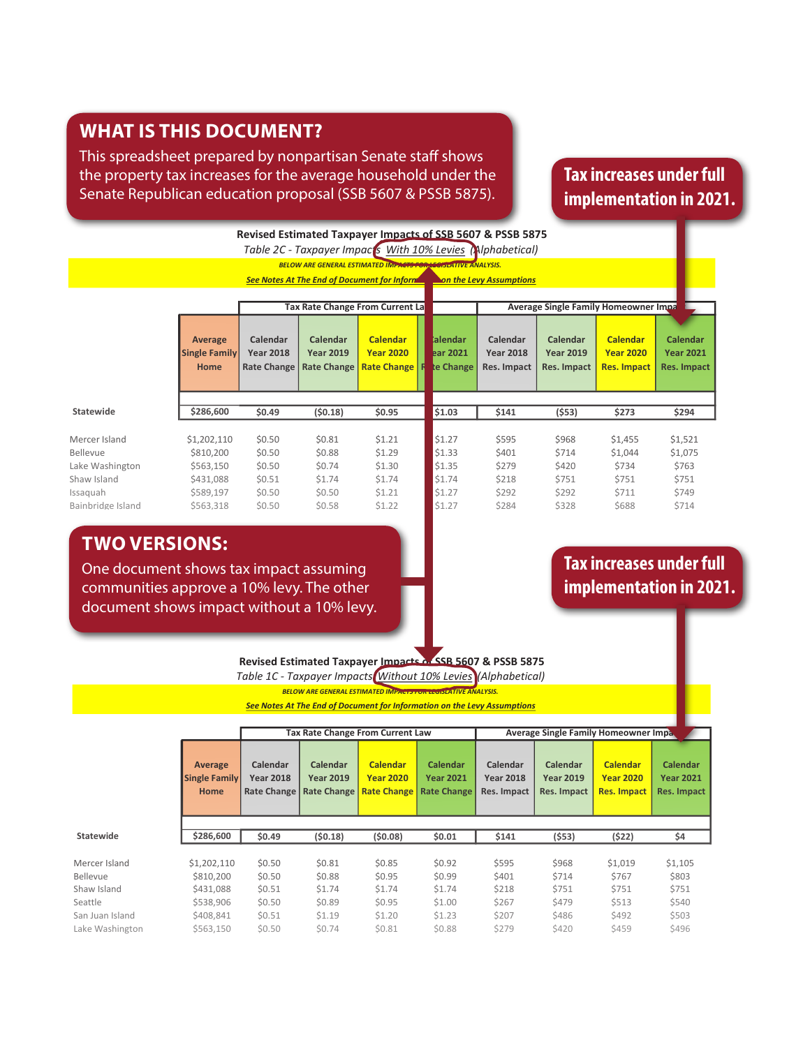## **WHAT IS THIS DOCUMENT?**

This spreadsheet prepared by nonpartisan Senate staff shows the property tax increases for the average household under the Senate Republican education proposal (SSB 5607 & PSSB 5875).

# **Tax increases under full implementation in 2021.**

|                           | <b>Revised Estimated Taxpayer Impacts of SSB 5607 &amp; PSSB 5875</b> |                                             |                                                    |                                                                      |                                   |                                                                        |                                                    |                                                           |                                                           |  |  |  |
|---------------------------|-----------------------------------------------------------------------|---------------------------------------------|----------------------------------------------------|----------------------------------------------------------------------|-----------------------------------|------------------------------------------------------------------------|----------------------------------------------------|-----------------------------------------------------------|-----------------------------------------------------------|--|--|--|
|                           |                                                                       |                                             |                                                    |                                                                      |                                   | Table 2C - Taxpayer Impaces With 10% Levies (Alphabetical)             |                                                    |                                                           |                                                           |  |  |  |
|                           |                                                                       |                                             |                                                    | <b>BELOW ARE GENERAL ESTIMATED IMPACTS FOR LEGISLATIVE ANALYSIS.</b> |                                   |                                                                        |                                                    |                                                           |                                                           |  |  |  |
|                           |                                                                       |                                             |                                                    |                                                                      |                                   | See Notes At The End of Document for Informer mon the Levy Assumptions |                                                    |                                                           |                                                           |  |  |  |
|                           |                                                                       |                                             |                                                    |                                                                      |                                   |                                                                        |                                                    |                                                           |                                                           |  |  |  |
|                           |                                                                       |                                             |                                                    | Tax Rate Change From Current La                                      |                                   |                                                                        |                                                    | <b>Average Single Family Homeowner Impa</b>               |                                                           |  |  |  |
|                           | Average<br><b>Single Family</b><br><b>Home</b>                        | Calendar<br><b>Year 2018</b><br>Rate Change | Calendar<br><b>Year 2019</b><br><b>Rate Change</b> | <b>Calendar</b><br><b>Year 2020</b><br><b>Rate Change   R</b>        | talendar<br>ear 2021<br>te Change | Calendar<br><b>Year 2018</b><br>Res. Impact                            | Calendar<br><b>Year 2019</b><br><b>Res. Impact</b> | <b>Calendar</b><br><b>Year 2020</b><br><b>Res. Impact</b> | <b>Calendar</b><br><b>Year 2021</b><br><b>Res. Impact</b> |  |  |  |
| <b>Statewide</b>          | \$286,600                                                             | \$0.49                                      | (50.18)                                            | \$0.95                                                               | \$1.03                            | \$141                                                                  | (553)                                              | \$273                                                     | \$294                                                     |  |  |  |
| Mercer Island<br>Bellevue | \$1,202,110<br>\$810,200                                              | \$0.50<br>\$0.50                            | \$0.81<br>\$0.88                                   | \$1.21<br>\$1.29                                                     | \$1.27<br>\$1.33                  | \$595<br>\$401                                                         | \$968<br>\$714                                     | \$1,455                                                   | \$1,521<br>\$1,075                                        |  |  |  |
| Lake Washington           | \$563,150                                                             | \$0.50                                      | \$0.74                                             | \$1.30                                                               | \$1.35                            | \$279                                                                  | \$420                                              | \$1,044<br>\$734                                          | \$763                                                     |  |  |  |
| Shaw Island<br>Issaquah   | \$431,088<br>\$589,197                                                | \$0.51<br>\$0.50                            | \$1.74<br>\$0.50                                   | \$1.74<br>\$1.21                                                     | \$1.74<br>\$1.27                  | \$218<br>\$292                                                         | \$751<br>\$292                                     | \$751<br>\$711                                            | \$751<br>\$749                                            |  |  |  |
| Bainbridge Island         | \$563.318                                                             | \$0.50                                      | \$0.58                                             | \$1.22                                                               | \$1.27                            | \$284                                                                  | \$328                                              | \$688                                                     | \$714                                                     |  |  |  |
|                           |                                                                       |                                             |                                                    |                                                                      |                                   |                                                                        |                                                    |                                                           |                                                           |  |  |  |

### $\mathcal{S}$  Juan Island  $\mathcal{S}$  , and  $\mathcal{S}$  1.19  $\mathcal{S}$  1.19  $\mathcal{S}$  1.19  $\mathcal{S}$  4.19  $\mathcal{S}$  1.19  $\mathcal{S}$  1.19  $\mathcal{S}$  1.19  $\mathcal{S}$  1.19  $\mathcal{S}$  1.19  $\mathcal{S}$  1.19  $\mathcal{S}$  1.19  $\mathcal{S}$  1.19  $\mathcal{S}$  1.19  $\math$ Orcas Island \$382,556 \$0.51 \$0.98 \$1.41 \$1.42 \$193 \$374 \$541 \$544 **TWO VERSIONS:**

One document shows tax impact assuming **182 <b>12.12 \$1.09 \$1.000 \$1.12 \$176 \$473** \$176 \$176 \$176 \$176 \$176 \$176 \$1 **Norther School shorthshore School School School school set of the Communities approve a 10% levy. The other wall and set of the implementation in**  $\mathbf{S}$  shows a stable  $\mathbf{S}$  from a stable  $\mathbf{S}$   $\mathbf{A}$  and  $\mathbf{A}$  0.06  $\mathbf{S}$  from a 430  $\mathbf{S}$ document shows impact without a 10% levy. The state of the state of the state of the state of the state of the

## $\sim$  Lopez Island  $\sim$  1333,502  $\sim$  1333,502  $\sim$  1333,502  $\sim$  1333,502  $\sim$  1333,502  $\sim$  1335,502  $\sim$  1335,502  $\sim$  1335,502  $\sim$  1335,502  $\sim$  1335,502  $\sim$  1335,502  $\sim$  1335,502  $\sim$  1335,502  $\sim$  1335,502  $\sim$  13 **Tax increases under full implementation in 2021.**

 $R_{\rm 10}$   $R_{\rm 20}$  ( $R_{\rm 20}$   $R_{\rm 30}$   $R_{\rm 20}$   $R_{\rm 30}$   $R_{\rm 20}$   $R_{\rm 30}$   $R_{\rm 30}$   $R_{\rm 30}$   $R_{\rm 30}$ Revised Estimated Taxpayer Impacts of SSB 5607 & PSSB 5875 **State State State State State State State State State State State State State State State State State State State State State State State State State State State** 

 $\overline{\phantom{a}}$  . The state  $\overline{\phantom{a}}$  a.f.  $\overline{\phantom{a}}$  a.f.  $\overline{\phantom{a}}$  a.f.  $\overline{\phantom{a}}$  a.f.  $\overline{\phantom{a}}$  a.f.  $\overline{\phantom{a}}$  a.f.  $\overline{\phantom{a}}$  a.f.  $\overline{\phantom{a}}$  a.f.  $\overline{\phantom{a}}$  a.f.  $\overline{\phantom{a}}$  a.f.  $\overline{\phantom{a}}$  a.f.  $\overline{\phantom{a}}$  $\blacksquare$ 

Shoreline \$405,549 \$0.50 (\$0.07) \$0.82 \$0.89 \$201 (\$30) \$331 \$361 *Table 1C - Taxpayer Impacts Without 10% Levies (Alphabetical)*

Cle Elum-Roslyn \$229,600 \$0.54 \$1.10 \$1.51 \$1.54 \$124 \$251 \$346 \$353 *BELOW ARE GENERAL ESTIMATED IMPACTS FOR LEGISLATIVE ANALYSIS.* 

**Peninsula \$331,542 \$1.04 \$1.04 \$322 \$322 \$331,542 \$331,542 \$322 \$334.542 \$1.04 \$1.04 \$1.04 \$1.04 \$1.04 \$1.04 \$1.04 \$1.04 \$1.04 \$1.04 \$1.04 \$1.04 \$1.04 \$1.04 \$1.04 \$1.04 \$1.04 \$1.04 \$1.04 \$1.04 \$1.04 \$1.04 \$1.04 \$1.04 \$1.0** 

|                 |                                                |                                             | <b>Tax Rate Change From Current Law</b>                   |                                                                         |                              | <b>Average Single Family Homeowner Impa.</b> |                                                           |                                                           |                                                           |  |
|-----------------|------------------------------------------------|---------------------------------------------|-----------------------------------------------------------|-------------------------------------------------------------------------|------------------------------|----------------------------------------------|-----------------------------------------------------------|-----------------------------------------------------------|-----------------------------------------------------------|--|
|                 | Average<br><b>Single Family</b><br><b>Home</b> | Calendar<br><b>Year 2018</b><br>Rate Change | <b>Calendar</b><br><b>Year 2019</b><br><b>Rate Change</b> | <b>Calendar</b><br><b>Year 2020</b><br><b>Rate Change   Rate Change</b> | Calendar<br><b>Year 2021</b> | Calendar<br><b>Year 2018</b><br>Res. Impact  | <b>Calendar</b><br><b>Year 2019</b><br><b>Res. Impact</b> | <b>Calendar</b><br><b>Year 2020</b><br><b>Res. Impact</b> | <b>Calendar</b><br><b>Year 2021</b><br><b>Res. Impact</b> |  |
| Statewide       | \$286,600                                      | \$0.49                                      | (50.18)                                                   | (50.08)                                                                 | \$0.01                       | \$141                                        | (553)                                                     | (522)                                                     | \$4                                                       |  |
| Mercer Island   | \$1,202,110                                    | \$0.50                                      | \$0.81                                                    | \$0.85                                                                  | \$0.92                       | \$595                                        | \$968                                                     | \$1,019                                                   | \$1,105                                                   |  |
| Bellevue        | \$810,200                                      | \$0.50                                      | \$0.88                                                    | \$0.95                                                                  | \$0.99                       | \$401                                        | \$714                                                     | \$767                                                     | \$803                                                     |  |
| Shaw Island     | \$431,088                                      | \$0.51                                      | \$1.74                                                    | \$1.74                                                                  | \$1.74                       | \$218                                        | \$751                                                     | \$751                                                     | \$751                                                     |  |
| Seattle         | \$538,906                                      | \$0.50                                      | \$0.89                                                    | \$0.95                                                                  | \$1.00                       | \$267                                        | \$479                                                     | \$513                                                     | \$540                                                     |  |
| San Juan Island | \$408,841                                      | \$0.51                                      | \$1.19                                                    | \$1.20                                                                  | \$1.23                       | \$207                                        | \$486                                                     | \$492                                                     | \$503                                                     |  |
| Lake Washington | \$563,150                                      | \$0.50                                      | \$0.74                                                    | \$0.81                                                                  | \$0.88                       | \$279                                        | \$420                                                     | \$459                                                     | \$496                                                     |  |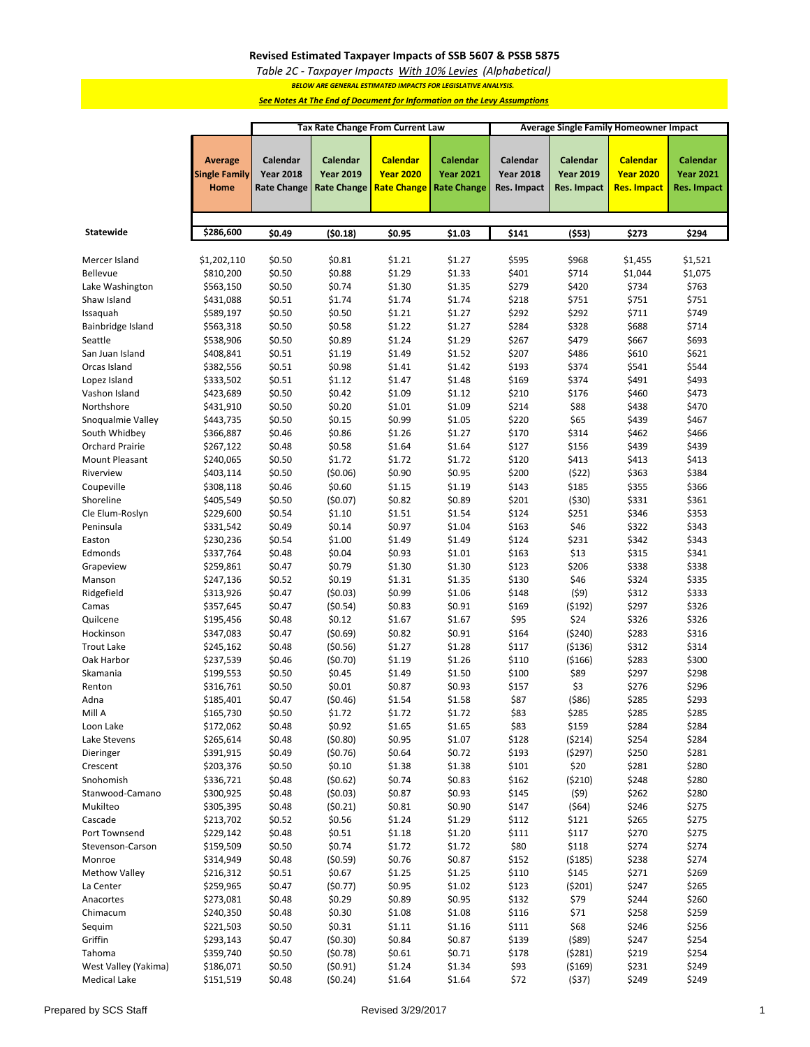### **Revised Estimated Taxpayer Impacts of SSB 5607 & PSSB 5875**

*Table 2C - Taxpayer Impacts With 10% Levies (Alphabetical)*

*BELOW ARE GENERAL ESTIMATED IMPACTS FOR LEGISLATIVE ANALYSIS.* 

*See Notes At The End of Document for Information on the Levy Assumptions*

|                        | <b>Tax Rate Change From Current Law</b><br><b>Average Single Family Homeowner Impact</b> |                    |                    |                    |                    |                  |                    |                  |                    |
|------------------------|------------------------------------------------------------------------------------------|--------------------|--------------------|--------------------|--------------------|------------------|--------------------|------------------|--------------------|
|                        |                                                                                          |                    |                    |                    |                    |                  |                    |                  |                    |
|                        |                                                                                          |                    |                    |                    |                    |                  |                    | <b>Calendar</b>  |                    |
|                        | <b>Average</b>                                                                           | Calendar           | Calendar           | <b>Calendar</b>    | <b>Calendar</b>    | Calendar         | Calendar           |                  | <b>Calendar</b>    |
|                        | <b>Single Family</b>                                                                     | <b>Year 2018</b>   | <b>Year 2019</b>   | <b>Year 2020</b>   | <b>Year 2021</b>   | <b>Year 2018</b> | <b>Year 2019</b>   | <b>Year 2020</b> | <b>Year 2021</b>   |
|                        | Home                                                                                     | <b>Rate Change</b> | <b>Rate Change</b> | <b>Rate Change</b> | <b>Rate Change</b> | Res. Impact      | <b>Res. Impact</b> | Res. Impact      | <b>Res. Impact</b> |
|                        |                                                                                          |                    |                    |                    |                    |                  |                    |                  |                    |
|                        |                                                                                          |                    |                    |                    |                    |                  |                    |                  |                    |
| Statewide              | \$286,600                                                                                | \$0.49             | (50.18)            | \$0.95             | \$1.03             | \$141            | (553)              | \$273            | \$294              |
|                        |                                                                                          |                    |                    |                    |                    |                  |                    |                  |                    |
| Mercer Island          | \$1,202,110                                                                              | \$0.50             | \$0.81             | \$1.21             | \$1.27             | \$595            | \$968              | \$1,455          | \$1,521            |
| Bellevue               | \$810,200                                                                                | \$0.50             | \$0.88             | \$1.29             | \$1.33             | \$401            | \$714              | \$1,044          | \$1,075            |
| Lake Washington        | \$563,150                                                                                | \$0.50             | \$0.74             | \$1.30             | \$1.35             | \$279            | \$420              | \$734            | \$763              |
| Shaw Island            | \$431,088                                                                                | \$0.51             | \$1.74             | \$1.74             | \$1.74             | \$218            | \$751              | \$751            | \$751              |
| Issaquah               | \$589,197                                                                                | \$0.50             | \$0.50             | \$1.21             | \$1.27             | \$292            | \$292              | \$711            | \$749              |
| Bainbridge Island      | \$563,318                                                                                | \$0.50             | \$0.58             | \$1.22             | \$1.27             | \$284            | \$328              | \$688            | \$714              |
| Seattle                | \$538,906                                                                                | \$0.50             | \$0.89             | \$1.24             | \$1.29             | \$267            | \$479              | \$667            | \$693              |
| San Juan Island        | \$408,841                                                                                | \$0.51             | \$1.19             | \$1.49             | \$1.52             | \$207            | \$486              | \$610            | \$621              |
| Orcas Island           | \$382,556                                                                                | \$0.51             | \$0.98             | \$1.41             | \$1.42             | \$193            | \$374              | \$541            | \$544              |
| Lopez Island           | \$333,502                                                                                | \$0.51             | \$1.12             | \$1.47             | \$1.48             | \$169            | \$374              | \$491            | \$493              |
| Vashon Island          | \$423,689                                                                                | \$0.50             | \$0.42             | \$1.09             | \$1.12             | \$210            | \$176              | \$460            | \$473              |
| Northshore             | \$431,910                                                                                | \$0.50             | \$0.20             | \$1.01             | \$1.09             | \$214            | \$88               | \$438            | \$470              |
| Snoqualmie Valley      | \$443,735                                                                                | \$0.50             | \$0.15             | \$0.99             | \$1.05             | \$220            | \$65               | \$439            | \$467              |
| South Whidbey          | \$366,887                                                                                | \$0.46             | \$0.86             | \$1.26             | \$1.27             | \$170            | \$314              | \$462            | \$466              |
| Orchard Prairie        | \$267,122                                                                                | \$0.48             | \$0.58             | \$1.64             | \$1.64             | \$127            | \$156              | \$439            | \$439              |
| Mount Pleasant         | \$240,065                                                                                | \$0.50             | \$1.72             | \$1.72             | \$1.72             | \$120            | \$413              | \$413            | \$413              |
| Riverview              | \$403,114                                                                                | \$0.50             | (50.06)            | \$0.90             | \$0.95             | \$200            | (522)              | \$363            | \$384              |
| Coupeville             | \$308,118                                                                                | \$0.46             | \$0.60             | \$1.15             | \$1.19             | \$143            | \$185              | \$355            | \$366              |
| Shoreline              | \$405,549                                                                                | \$0.50             | (\$0.07)           | \$0.82             | \$0.89             | \$201            | ( \$30)            | \$331            | \$361              |
| Cle Elum-Roslyn        | \$229,600                                                                                | \$0.54             | \$1.10             | \$1.51             | \$1.54             | \$124            | \$251              | \$346            | \$353              |
| Peninsula              | \$331,542                                                                                | \$0.49             | \$0.14             | \$0.97             | \$1.04             | \$163            | \$46               | \$322            | \$343              |
| Easton                 | \$230,236                                                                                | \$0.54             | \$1.00             | \$1.49             | \$1.49             | \$124            | \$231              | \$342            | \$343              |
| Edmonds                | \$337,764                                                                                | \$0.48             | \$0.04             | \$0.93             | \$1.01             | \$163            | \$13               | \$315            | \$341              |
| Grapeview              | \$259,861                                                                                | \$0.47             | \$0.79             | \$1.30             | \$1.30             | \$123            | \$206              | \$338            | \$338              |
| Manson                 | \$247,136                                                                                | \$0.52             | \$0.19             | \$1.31             | \$1.35             | \$130            | \$46               | \$324            | \$335              |
| Ridgefield             | \$313,926                                                                                | \$0.47             | (\$0.03)           | \$0.99             | \$1.06             | \$148            | (59)               | \$312            | \$333              |
| Camas                  | \$357,645                                                                                | \$0.47             | (50.54)            | \$0.83             | \$0.91             | \$169            | (5192)             | \$297            | \$326              |
| Quilcene               | \$195,456                                                                                | \$0.48             | \$0.12             | \$1.67             | \$1.67             | \$95             | \$24               | \$326            | \$326              |
| Hockinson              | \$347,083                                                                                | \$0.47             | (50.69)            | \$0.82             | \$0.91             | \$164            | ( \$240)           | \$283            | \$316              |
| <b>Trout Lake</b>      | \$245,162                                                                                | \$0.48             | (50.56)            | \$1.27             | \$1.28             | \$117            | ( \$136)           | \$312            | \$314              |
| Oak Harbor<br>Skamania | \$237,539<br>\$199,553                                                                   | \$0.46<br>\$0.50   | (50.70)<br>\$0.45  | \$1.19<br>\$1.49   | \$1.26<br>\$1.50   | \$110<br>\$100   | ( \$166)<br>\$89   | \$283<br>\$297   | \$300<br>\$298     |
| Renton                 | \$316,761                                                                                | \$0.50             | \$0.01             | \$0.87             | \$0.93             | \$157            | \$3                | \$276            | \$296              |
| Adna                   | \$185,401                                                                                | \$0.47             | (50.46)            | \$1.54             | \$1.58             | \$87             | ( \$86)            | \$285            | \$293              |
| Mill A                 | \$165,730                                                                                | \$0.50             | \$1.72             | \$1.72             | \$1.72             | \$83             | \$285              | \$285            | \$285              |
| Loon Lake              | \$172,062                                                                                | \$0.48             | \$0.92             | \$1.65             | \$1.65             | \$83             | \$159              | \$284            | \$284              |
| Lake Stevens           | \$265,614                                                                                | \$0.48             | (50.80)            | \$0.95             | \$1.07             | \$128            | (5214)             | \$254            | \$284              |
| Dieringer              | \$391,915                                                                                | \$0.49             | (50.76)            | \$0.64             | \$0.72             | \$193            | (5297)             | \$250            | \$281              |
| Crescent               | \$203,376                                                                                | \$0.50             | \$0.10             | \$1.38             | \$1.38             | \$101            | \$20               | \$281            | \$280              |
| Snohomish              | \$336,721                                                                                | \$0.48             | (50.62)            | \$0.74             | \$0.83             | \$162            | (5210)             | \$248            | \$280              |
| Stanwood-Camano        | \$300,925                                                                                | \$0.48             | (50.03)            | \$0.87             | \$0.93             | \$145            | (59)               | \$262            | \$280              |
| Mukilteo               | \$305,395                                                                                | \$0.48             | (50.21)            | \$0.81             | \$0.90             | \$147            | (564)              | \$246            | \$275              |
| Cascade                | \$213,702                                                                                | \$0.52             | \$0.56             | \$1.24             | \$1.29             | \$112            | \$121              | \$265            | \$275              |
| Port Townsend          | \$229,142                                                                                | \$0.48             | \$0.51             | \$1.18             | \$1.20             | \$111            | \$117              | \$270            | \$275              |
| Stevenson-Carson       | \$159,509                                                                                | \$0.50             | \$0.74             | \$1.72             | \$1.72             | \$80             | \$118              | \$274            | \$274              |
| Monroe                 | \$314,949                                                                                | \$0.48             | (50.59)            | \$0.76             | \$0.87             | \$152            | ( \$185)           | \$238            | \$274              |
| <b>Methow Valley</b>   | \$216,312                                                                                | \$0.51             | \$0.67             | \$1.25             | \$1.25             | \$110            | \$145              | \$271            | \$269              |
| La Center              | \$259,965                                                                                | \$0.47             | (50.77)            | \$0.95             | \$1.02             | \$123            | (5201)             | \$247            | \$265              |
| Anacortes              | \$273,081                                                                                | \$0.48             | \$0.29             | \$0.89             | \$0.95             | \$132            | \$79               | \$244            | \$260              |
| Chimacum               | \$240,350                                                                                | \$0.48             | \$0.30             | \$1.08             | \$1.08             | \$116            | \$71               | \$258            | \$259              |
| Sequim                 | \$221,503                                                                                | \$0.50             | \$0.31             | \$1.11             | \$1.16             | \$111            | \$68               | \$246            | \$256              |
| Griffin                | \$293,143                                                                                | \$0.47             | (50.30)            | \$0.84             | \$0.87             | \$139            | (589)              | \$247            | \$254              |
| Tahoma                 | \$359,740                                                                                | \$0.50             | (50.78)            | \$0.61             | \$0.71             | \$178            | (5281)             | \$219            | \$254              |
| West Valley (Yakima)   | \$186,071                                                                                | \$0.50             | (50.91)            | \$1.24             | \$1.34             | \$93             | ( \$169)           | \$231            | \$249              |
| <b>Medical Lake</b>    | \$151,519                                                                                | \$0.48             | (50.24)            | \$1.64             | \$1.64             | \$72             | (537)              | \$249            | \$249              |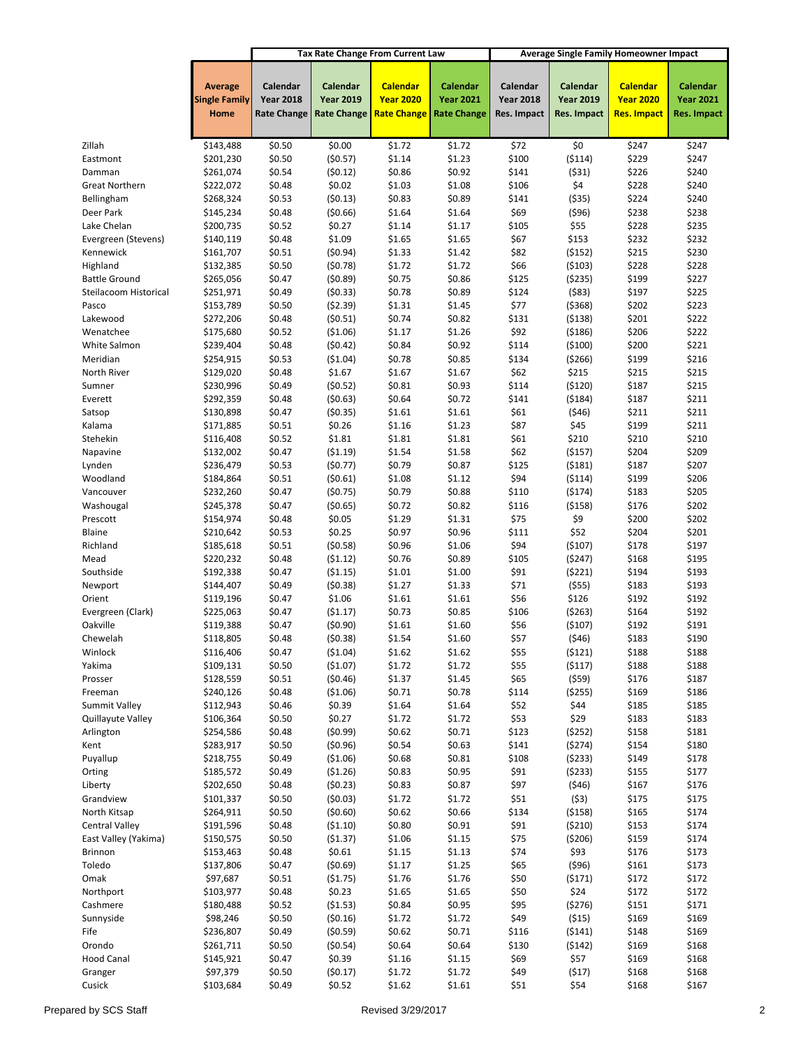|                                     |                                                |                                                    |                                                    | <b>Tax Rate Change From Current Law</b><br><b>Average Single Family Homeowner Impact</b> |                                                    |                                             |                                             |                                                    |                                                    |
|-------------------------------------|------------------------------------------------|----------------------------------------------------|----------------------------------------------------|------------------------------------------------------------------------------------------|----------------------------------------------------|---------------------------------------------|---------------------------------------------|----------------------------------------------------|----------------------------------------------------|
|                                     | <b>Average</b><br><b>Single Family</b><br>Home | Calendar<br><b>Year 2018</b><br><b>Rate Change</b> | Calendar<br><b>Year 2019</b><br><b>Rate Change</b> | <b>Calendar</b><br><b>Year 2020</b><br><b>Rate Change</b>                                | Calendar<br><b>Year 2021</b><br><b>Rate Change</b> | Calendar<br><b>Year 2018</b><br>Res. Impact | Calendar<br><b>Year 2019</b><br>Res. Impact | <b>Calendar</b><br><b>Year 2020</b><br>Res. Impact | Calendar<br><b>Year 2021</b><br><b>Res. Impact</b> |
|                                     |                                                |                                                    |                                                    |                                                                                          |                                                    |                                             |                                             |                                                    |                                                    |
| Zillah                              | \$143,488                                      | \$0.50                                             | \$0.00                                             | \$1.72                                                                                   | \$1.72                                             | \$72                                        | \$0                                         | \$247                                              | \$247                                              |
| Eastmont                            | \$201,230                                      | \$0.50                                             | (50.57)                                            | \$1.14                                                                                   | \$1.23                                             | \$100                                       | (5114)                                      | \$229                                              | \$247                                              |
| Damman                              | \$261,074                                      | \$0.54                                             | (50.12)                                            | \$0.86                                                                                   | \$0.92                                             | \$141                                       | (531)                                       | \$226                                              | \$240                                              |
| <b>Great Northern</b><br>Bellingham | \$222,072<br>\$268,324                         | \$0.48<br>\$0.53                                   | \$0.02<br>(50.13)                                  | \$1.03<br>\$0.83                                                                         | \$1.08<br>\$0.89                                   | \$106<br>\$141                              | \$4<br>( \$35)                              | \$228<br>\$224                                     | \$240<br>\$240                                     |
| Deer Park                           | \$145,234                                      | \$0.48                                             | (50.66)                                            | \$1.64                                                                                   | \$1.64                                             | \$69                                        | (596)                                       | \$238                                              | \$238                                              |
| Lake Chelan                         | \$200,735                                      | \$0.52                                             | \$0.27                                             | \$1.14                                                                                   | \$1.17                                             | \$105                                       | \$55                                        | \$228                                              | \$235                                              |
| Evergreen (Stevens)                 | \$140,119                                      | \$0.48                                             | \$1.09                                             | \$1.65                                                                                   | \$1.65                                             | \$67                                        | \$153                                       | \$232                                              | \$232                                              |
| Kennewick                           | \$161,707                                      | \$0.51                                             | (50.94)                                            | \$1.33                                                                                   | \$1.42                                             | \$82                                        | (5152)                                      | \$215                                              | \$230                                              |
| Highland                            | \$132,385                                      | \$0.50                                             | (50.78)                                            | \$1.72                                                                                   | \$1.72                                             | \$66                                        | (5103)                                      | \$228                                              | \$228                                              |
| <b>Battle Ground</b>                | \$265,056                                      | \$0.47                                             | (50.89)                                            | \$0.75                                                                                   | \$0.86                                             | \$125                                       | (5235)                                      | \$199                                              | \$227                                              |
| Steilacoom Historical               | \$251,971                                      | \$0.49                                             | (50.33)                                            | \$0.78                                                                                   | \$0.89                                             | \$124                                       | ( \$83)                                     | \$197                                              | \$225                                              |
| Pasco                               | \$153,789                                      | \$0.50                                             | (52.39)                                            | \$1.31                                                                                   | \$1.45                                             | \$77                                        | ( \$368)                                    | \$202                                              | \$223                                              |
| Lakewood                            | \$272,206                                      | \$0.48                                             | (50.51)                                            | \$0.74                                                                                   | \$0.82                                             | \$131                                       | ( \$138)                                    | \$201                                              | \$222                                              |
| Wenatchee                           | \$175,680                                      | \$0.52                                             | ( \$1.06)                                          | \$1.17                                                                                   | \$1.26                                             | \$92                                        | (5186)                                      | \$206                                              | \$222                                              |
| White Salmon                        | \$239,404                                      | \$0.48                                             | (50.42)                                            | \$0.84                                                                                   | \$0.92                                             | \$114                                       | (5100)                                      | \$200                                              | \$221                                              |
| Meridian                            | \$254,915                                      | \$0.53                                             | (\$1.04)                                           | \$0.78                                                                                   | \$0.85                                             | \$134                                       | ( \$266)                                    | \$199                                              | \$216                                              |
| North River                         | \$129,020                                      | \$0.48                                             | \$1.67                                             | \$1.67                                                                                   | \$1.67                                             | \$62                                        | \$215                                       | \$215                                              | \$215                                              |
| Sumner                              | \$230,996                                      | \$0.49                                             | (50.52)                                            | \$0.81                                                                                   | \$0.93                                             | \$114                                       | (5120)                                      | \$187                                              | \$215                                              |
| Everett                             | \$292,359                                      | \$0.48                                             | (50.63)                                            | \$0.64                                                                                   | \$0.72                                             | \$141                                       | (5184)                                      | \$187                                              | \$211                                              |
| Satsop                              | \$130,898                                      | \$0.47                                             | (50.35)                                            | \$1.61                                                                                   | \$1.61                                             | \$61                                        | (546)                                       | \$211                                              | \$211                                              |
| Kalama                              | \$171,885                                      | \$0.51                                             | \$0.26                                             | \$1.16                                                                                   | \$1.23                                             | \$87                                        | \$45                                        | \$199                                              | \$211                                              |
| Stehekin                            | \$116,408                                      | \$0.52                                             | \$1.81                                             | \$1.81                                                                                   | \$1.81                                             | \$61                                        | \$210                                       | \$210                                              | \$210                                              |
| Napavine<br>Lynden                  | \$132,002<br>\$236,479                         | \$0.47<br>\$0.53                                   | (51.19)<br>(50.77)                                 | \$1.54<br>\$0.79                                                                         | \$1.58<br>\$0.87                                   | \$62<br>\$125                               | ( \$157)<br>(5181)                          | \$204<br>\$187                                     | \$209<br>\$207                                     |
| Woodland                            | \$184,864                                      | \$0.51                                             | (50.61)                                            | \$1.08                                                                                   | \$1.12                                             | \$94                                        | ( \$114)                                    | \$199                                              | \$206                                              |
| Vancouver                           | \$232,260                                      | \$0.47                                             | (50.75)                                            | \$0.79                                                                                   | \$0.88                                             | \$110                                       | (5174)                                      | \$183                                              | \$205                                              |
| Washougal                           | \$245,378                                      | \$0.47                                             | (50.65)                                            | \$0.72                                                                                   | \$0.82                                             | \$116                                       | ( \$158)                                    | \$176                                              | \$202                                              |
| Prescott                            | \$154,974                                      | \$0.48                                             | \$0.05                                             | \$1.29                                                                                   | \$1.31                                             | \$75                                        | \$9                                         | \$200                                              | \$202                                              |
| Blaine                              | \$210,642                                      | \$0.53                                             | \$0.25                                             | \$0.97                                                                                   | \$0.96                                             | \$111                                       | \$52                                        | \$204                                              | \$201                                              |
| Richland                            | \$185,618                                      | \$0.51                                             | (50.58)                                            | \$0.96                                                                                   | \$1.06                                             | \$94                                        | (5107)                                      | \$178                                              | \$197                                              |
| Mead                                | \$220,232                                      | \$0.48                                             | (51.12)                                            | \$0.76                                                                                   | \$0.89                                             | \$105                                       | (5247)                                      | \$168                                              | \$195                                              |
| Southside                           | \$192,338                                      | \$0.47                                             | ( \$1.15)                                          | \$1.01                                                                                   | \$1.00                                             | \$91                                        | (5221)                                      | \$194                                              | \$193                                              |
| Newport                             | \$144,407                                      | \$0.49                                             | (50.38)                                            | \$1.27                                                                                   | \$1.33                                             | \$71                                        | (555)                                       | \$183                                              | \$193                                              |
| Orient                              | \$119,196                                      | \$0.47                                             | \$1.06                                             | \$1.61                                                                                   | \$1.61                                             | \$56                                        | \$126                                       | \$192                                              | \$192                                              |
| Evergreen (Clark)                   | \$225,063                                      | \$0.47                                             | (51.17)                                            | \$0.73                                                                                   | \$0.85                                             | \$106                                       | (5263)                                      | \$164                                              | \$192                                              |
| Oakville                            | \$119,388                                      | \$0.47                                             | (50.90)                                            | \$1.61                                                                                   | \$1.60                                             | \$56                                        | (5107)                                      | \$192                                              | \$191                                              |
| Chewelah                            | \$118,805                                      | \$0.48                                             | (50.38)                                            | \$1.54                                                                                   | \$1.60                                             | \$57                                        | ( \$46)                                     | \$183                                              | \$190                                              |
| Winlock                             | \$116,406                                      | \$0.47                                             | (\$1.04)                                           | \$1.62                                                                                   | \$1.62                                             | \$55                                        | (5121)                                      | \$188                                              | \$188                                              |
| Yakima                              | \$109,131                                      | \$0.50                                             | (\$1.07)                                           | \$1.72                                                                                   | \$1.72                                             | \$55                                        | (5117)                                      | \$188                                              | \$188                                              |
| Prosser                             | \$128,559                                      | \$0.51                                             | (50.46)                                            | \$1.37                                                                                   | \$1.45                                             | \$65                                        | (559)                                       | \$176                                              | \$187                                              |
| Freeman<br>Summit Valley            | \$240,126<br>\$112,943                         | \$0.48<br>\$0.46                                   | (\$1.06)<br>\$0.39                                 | \$0.71<br>\$1.64                                                                         | \$0.78<br>\$1.64                                   | \$114<br>\$52                               | ( \$255)<br>\$44                            | \$169<br>\$185                                     | \$186<br>\$185                                     |
| Quillayute Valley                   | \$106,364                                      | \$0.50                                             | \$0.27                                             | \$1.72                                                                                   | \$1.72                                             | \$53                                        | \$29                                        | \$183                                              | \$183                                              |
| Arlington                           | \$254,586                                      | \$0.48                                             | (50.99)                                            | \$0.62                                                                                   | \$0.71                                             | \$123                                       | (5252)                                      | \$158                                              | \$181                                              |
| Kent                                | \$283,917                                      | \$0.50                                             | (50.96)                                            | \$0.54                                                                                   | \$0.63                                             | \$141                                       | (5274)                                      | \$154                                              | \$180                                              |
| Puyallup                            | \$218,755                                      | \$0.49                                             | (\$1.06)                                           | \$0.68                                                                                   | \$0.81                                             | \$108                                       | (5233)                                      | \$149                                              | \$178                                              |
| Orting                              | \$185,572                                      | \$0.49                                             | (51.26)                                            | \$0.83                                                                                   | \$0.95                                             | \$91                                        | (5233)                                      | \$155                                              | \$177                                              |
| Liberty                             | \$202,650                                      | \$0.48                                             | (50.23)                                            | \$0.83                                                                                   | \$0.87                                             | \$97                                        | (546)                                       | \$167                                              | \$176                                              |
| Grandview                           | \$101,337                                      | \$0.50                                             | (50.03)                                            | \$1.72                                                                                   | \$1.72                                             | \$51                                        | (53)                                        | \$175                                              | \$175                                              |
| North Kitsap                        | \$264,911                                      | \$0.50                                             | (50.60)                                            | \$0.62                                                                                   | \$0.66                                             | \$134                                       | ( \$158)                                    | \$165                                              | \$174                                              |
| <b>Central Valley</b>               | \$191,596                                      | \$0.48                                             | (\$1.10)                                           | \$0.80                                                                                   | \$0.91                                             | \$91                                        | (5210)                                      | \$153                                              | \$174                                              |
| East Valley (Yakima)                | \$150,575                                      | \$0.50                                             | (\$1.37)                                           | \$1.06                                                                                   | \$1.15                                             | \$75                                        | (5206)                                      | \$159                                              | \$174                                              |
| Brinnon                             | \$153,463                                      | \$0.48                                             | \$0.61                                             | \$1.15                                                                                   | \$1.13                                             | \$74                                        | \$93                                        | \$176                                              | \$173                                              |
| Toledo                              | \$137,806                                      | \$0.47                                             | (50.69)                                            | \$1.17                                                                                   | \$1.25                                             | \$65                                        | ( \$96)                                     | \$161                                              | \$173                                              |
| Omak                                | \$97,687                                       | \$0.51                                             | (\$1.75)                                           | \$1.76                                                                                   | \$1.76                                             | \$50                                        | (5171)                                      | \$172                                              | \$172                                              |
| Northport                           | \$103,977                                      | \$0.48                                             | \$0.23                                             | \$1.65                                                                                   | \$1.65                                             | \$50                                        | \$24                                        | \$172                                              | \$172                                              |
| Cashmere                            | \$180,488                                      | \$0.52                                             | (\$1.53)                                           | \$0.84                                                                                   | \$0.95                                             | \$95                                        | (5276)                                      | \$151                                              | \$171                                              |
| Sunnyside                           | \$98,246                                       | \$0.50                                             | (50.16)                                            | \$1.72                                                                                   | \$1.72                                             | \$49                                        | ( \$15)                                     | \$169                                              | \$169                                              |
| Fife                                | \$236,807                                      | \$0.49                                             | (50.59)                                            | \$0.62                                                                                   | \$0.71                                             | \$116                                       | (5141)                                      | \$148                                              | \$169                                              |
| Orondo<br><b>Hood Canal</b>         | \$261,711                                      | \$0.50                                             | (50.54)                                            | \$0.64                                                                                   | \$0.64                                             | \$130                                       | (5142)                                      | \$169                                              | \$168                                              |
| Granger                             | \$145,921<br>\$97,379                          | \$0.47<br>\$0.50                                   | \$0.39<br>(50.17)                                  | \$1.16<br>\$1.72                                                                         | \$1.15<br>\$1.72                                   | \$69<br>\$49                                | \$57<br>(517)                               | \$169<br>\$168                                     | \$168<br>\$168                                     |
| Cusick                              | \$103,684                                      | \$0.49                                             | \$0.52                                             | \$1.62                                                                                   | \$1.61                                             | \$51                                        | \$54                                        | \$168                                              | \$167                                              |
|                                     |                                                |                                                    |                                                    |                                                                                          |                                                    |                                             |                                             |                                                    |                                                    |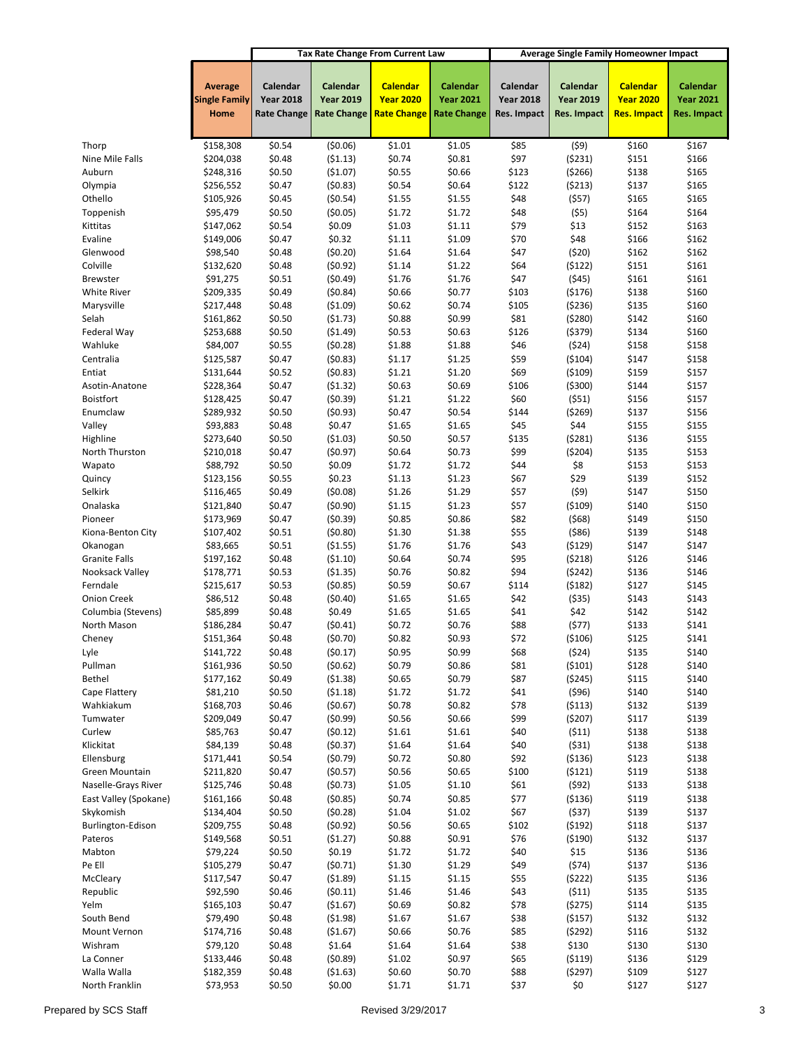|                                         |                                        |                              |                              | <b>Tax Rate Change From Current Law</b> |                              | <b>Average Single Family Homeowner Impact</b> |                              |                                     |                              |
|-----------------------------------------|----------------------------------------|------------------------------|------------------------------|-----------------------------------------|------------------------------|-----------------------------------------------|------------------------------|-------------------------------------|------------------------------|
|                                         | <b>Average</b><br><b>Single Family</b> | Calendar<br><b>Year 2018</b> | Calendar<br><b>Year 2019</b> | <b>Calendar</b><br><b>Year 2020</b>     | Calendar<br><b>Year 2021</b> | Calendar<br><b>Year 2018</b>                  | Calendar<br><b>Year 2019</b> | <b>Calendar</b><br><b>Year 2020</b> | Calendar<br><b>Year 2021</b> |
|                                         | Home                                   | <b>Rate Change</b>           | <b>Rate Change</b>           | <b>Rate Change</b>                      | <b>Rate Change</b>           | <b>Res. Impact</b>                            | Res. Impact                  | Res. Impact                         | Res. Impact                  |
|                                         |                                        |                              |                              |                                         |                              |                                               |                              |                                     |                              |
| Thorp<br>Nine Mile Falls                | \$158,308<br>\$204,038                 | \$0.54<br>\$0.48             | (50.06)<br>(51.13)           | \$1.01<br>\$0.74                        | \$1.05<br>\$0.81             | \$85<br>\$97                                  | (59)<br>(5231)               | \$160<br>\$151                      | \$167<br>\$166               |
| Auburn                                  | \$248,316                              | \$0.50                       | (\$1.07)                     | \$0.55                                  | \$0.66                       | \$123                                         | ( \$266)                     | \$138                               | \$165                        |
| Olympia                                 | \$256,552                              | \$0.47                       | (50.83)                      | \$0.54                                  | \$0.64                       | \$122                                         | (5213)                       | \$137                               | \$165                        |
| Othello                                 | \$105,926                              | \$0.45                       | (50.54)                      | \$1.55                                  | \$1.55                       | \$48                                          | (557)                        | \$165                               | \$165                        |
| Toppenish                               | \$95,479                               | \$0.50                       | (50.05)                      | \$1.72                                  | \$1.72                       | \$48                                          | (55)                         | \$164                               | \$164                        |
| Kittitas                                | \$147,062                              | \$0.54                       | \$0.09                       | \$1.03                                  | \$1.11                       | \$79                                          | \$13                         | \$152                               | \$163                        |
| Evaline                                 | \$149,006                              | \$0.47                       | \$0.32                       | \$1.11                                  | \$1.09                       | \$70                                          | \$48                         | \$166                               | \$162                        |
| Glenwood                                | \$98,540                               | \$0.48                       | (50.20)                      | \$1.64                                  | \$1.64                       | \$47                                          | (520)                        | \$162                               | \$162                        |
| Colville                                | \$132,620                              | \$0.48                       | (50.92)                      | \$1.14                                  | \$1.22                       | \$64                                          | (5122)                       | \$151                               | \$161                        |
| <b>Brewster</b><br><b>White River</b>   | \$91,275<br>\$209,335                  | \$0.51<br>\$0.49             | (50.49)<br>(50.84)           | \$1.76<br>\$0.66                        | \$1.76<br>\$0.77             | \$47<br>\$103                                 | (545)<br>( \$176)            | \$161<br>\$138                      | \$161<br>\$160               |
| Marysville                              | \$217,448                              | \$0.48                       | ( \$1.09)                    | \$0.62                                  | \$0.74                       | \$105                                         | ( \$236)                     | \$135                               | \$160                        |
| Selah                                   | \$161,862                              | \$0.50                       | (51.73)                      | \$0.88                                  | \$0.99                       | \$81                                          | (5280)                       | \$142                               | \$160                        |
| Federal Way                             | \$253,688                              | \$0.50                       | (51.49)                      | \$0.53                                  | \$0.63                       | \$126                                         | $($ \$379)                   | \$134                               | \$160                        |
| Wahluke                                 | \$84,007                               | \$0.55                       | (50.28)                      | \$1.88                                  | \$1.88                       | \$46                                          | (524)                        | \$158                               | \$158                        |
| Centralia                               | \$125,587                              | \$0.47                       | (50.83)                      | \$1.17                                  | \$1.25                       | \$59                                          | ( \$104)                     | \$147                               | \$158                        |
| Entiat                                  | \$131,644                              | \$0.52                       | (50.83)                      | \$1.21                                  | \$1.20                       | \$69                                          | ( \$109)                     | \$159                               | \$157                        |
| Asotin-Anatone                          | \$228,364                              | \$0.47                       | (51.32)                      | \$0.63                                  | \$0.69                       | \$106                                         | ( \$300)                     | \$144                               | \$157                        |
| <b>Boistfort</b>                        | \$128,425                              | \$0.47                       | (50.39)                      | \$1.21                                  | \$1.22                       | \$60                                          | (551)                        | \$156                               | \$157                        |
| Enumclaw<br>Valley                      | \$289,932<br>\$93,883                  | \$0.50<br>\$0.48             | (50.93)<br>\$0.47            | \$0.47<br>\$1.65                        | \$0.54<br>\$1.65             | \$144<br>\$45                                 | (5269)<br>\$44               | \$137<br>\$155                      | \$156<br>\$155               |
| Highline                                | \$273,640                              | \$0.50                       | (51.03)                      | \$0.50                                  | \$0.57                       | \$135                                         | (5281)                       | \$136                               | \$155                        |
| North Thurston                          | \$210,018                              | \$0.47                       | (50.97)                      | \$0.64                                  | \$0.73                       | \$99                                          | ( \$204)                     | \$135                               | \$153                        |
| Wapato                                  | \$88,792                               | \$0.50                       | \$0.09                       | \$1.72                                  | \$1.72                       | \$44                                          | \$8                          | \$153                               | \$153                        |
| Quincy                                  | \$123,156                              | \$0.55                       | \$0.23                       | \$1.13                                  | \$1.23                       | \$67                                          | \$29                         | \$139                               | \$152                        |
| Selkirk                                 | \$116,465                              | \$0.49                       | (50.08)                      | \$1.26                                  | \$1.29                       | \$57                                          | (59)                         | \$147                               | \$150                        |
| Onalaska                                | \$121,840                              | \$0.47                       | (50.90)                      | \$1.15                                  | \$1.23                       | \$57                                          | ( \$109)                     | \$140                               | \$150                        |
| Pioneer                                 | \$173,969                              | \$0.47                       | (50.39)                      | \$0.85                                  | \$0.86                       | \$82                                          | (568)                        | \$149                               | \$150                        |
| Kiona-Benton City                       | \$107,402                              | \$0.51                       | (50.80)                      | \$1.30                                  | \$1.38                       | \$55                                          | ( \$86)                      | \$139                               | \$148                        |
| Okanogan                                | \$83,665                               | \$0.51                       | (\$1.55)                     | \$1.76                                  | \$1.76                       | \$43                                          | (5129)                       | \$147                               | \$147                        |
| <b>Granite Falls</b><br>Nooksack Valley | \$197,162<br>\$178,771                 | \$0.48<br>\$0.53             | (51.10)<br>( \$1.35)         | \$0.64<br>\$0.76                        | \$0.74<br>\$0.82             | \$95<br>\$94                                  | (5218)<br>(5242)             | \$126<br>\$136                      | \$146<br>\$146               |
| Ferndale                                | \$215,617                              | \$0.53                       | (50.85)                      | \$0.59                                  | \$0.67                       | \$114                                         | (5182)                       | \$127                               | \$145                        |
| <b>Onion Creek</b>                      | \$86,512                               | \$0.48                       | (50.40)                      | \$1.65                                  | \$1.65                       | \$42                                          | ( \$35)                      | \$143                               | \$143                        |
| Columbia (Stevens)                      | \$85,899                               | \$0.48                       | \$0.49                       | \$1.65                                  | \$1.65                       | \$41                                          | \$42                         | \$142                               | \$142                        |
| North Mason                             | \$186,284                              | \$0.47                       | (50.41)                      | \$0.72                                  | \$0.76                       | \$88                                          | (577)                        | \$133                               | \$141                        |
| Cheney                                  | \$151,364                              | \$0.48                       | (50.70)                      | \$0.82                                  | \$0.93                       | \$72                                          | ( \$106)                     | \$125                               | \$141                        |
| Lyle                                    | \$141,722                              | \$0.48                       | (50.17)                      | \$0.95                                  | \$0.99                       | \$68                                          | (524)                        | \$135                               | \$140                        |
| Pullman                                 | \$161,936                              | \$0.50                       | (50.62)                      | \$0.79                                  | \$0.86                       | \$81                                          | (5101)                       | \$128                               | \$140                        |
| Bethel                                  | \$177,162                              | \$0.49                       | (51.38)                      | \$0.65                                  | \$0.79                       | \$87                                          | (5245)                       | \$115                               | \$140                        |
| Cape Flattery<br>Wahkiakum              | \$81,210<br>\$168,703                  | \$0.50<br>\$0.46             | (51.18)<br>(50.67)           | \$1.72<br>\$0.78                        | \$1.72<br>\$0.82             | \$41<br>\$78                                  | (596)<br>(5113)              | \$140<br>\$132                      | \$140<br>\$139               |
| Tumwater                                | \$209,049                              | \$0.47                       | (50.99)                      | \$0.56                                  | \$0.66                       | \$99                                          | (5207)                       | \$117                               | \$139                        |
| Curlew                                  | \$85,763                               | \$0.47                       | (50.12)                      | \$1.61                                  | \$1.61                       | \$40                                          | (511)                        | \$138                               | \$138                        |
| Klickitat                               | \$84,139                               | \$0.48                       | (50.37)                      | \$1.64                                  | \$1.64                       | \$40                                          | (531)                        | \$138                               | \$138                        |
| Ellensburg                              | \$171,441                              | \$0.54                       | (50.79)                      | \$0.72                                  | \$0.80                       | \$92                                          | ( \$136)                     | \$123                               | \$138                        |
| Green Mountain                          | \$211,820                              | \$0.47                       | (50.57)                      | \$0.56                                  | \$0.65                       | \$100                                         | (5121)                       | \$119                               | \$138                        |
| Naselle-Grays River                     | \$125,746                              | \$0.48                       | (50.73)                      | \$1.05                                  | \$1.10                       | \$61                                          | (592)                        | \$133                               | \$138                        |
| East Valley (Spokane)                   | \$161,166                              | \$0.48                       | (50.85)                      | \$0.74                                  | \$0.85                       | \$77                                          | ( \$136)                     | \$119                               | \$138                        |
| Skykomish                               | \$134,404                              | \$0.50                       | (50.28)                      | \$1.04                                  | \$1.02                       | \$67                                          | (537)                        | \$139                               | \$137                        |
| Burlington-Edison                       | \$209,755                              | \$0.48                       | (50.92)                      | \$0.56                                  | \$0.65                       | \$102                                         | (5192)                       | \$118                               | \$137                        |
| Pateros<br>Mabton                       | \$149,568<br>\$79,224                  | \$0.51<br>\$0.50             | (\$1.27)<br>\$0.19           | \$0.88<br>\$1.72                        | \$0.91<br>\$1.72             | \$76<br>\$40                                  | ( \$190)<br>\$15             | \$132<br>\$136                      | \$137<br>\$136               |
| Pe Ell                                  | \$105,279                              | \$0.47                       | (50.71)                      | \$1.30                                  | \$1.29                       | \$49                                          | (574)                        | \$137                               | \$136                        |
| McCleary                                | \$117,547                              | \$0.47                       | (\$1.89)                     | \$1.15                                  | \$1.15                       | \$55                                          | (5222)                       | \$135                               | \$136                        |
| Republic                                | \$92,590                               | \$0.46                       | (50.11)                      | \$1.46                                  | \$1.46                       | \$43                                          | (511)                        | \$135                               | \$135                        |
| Yelm                                    | \$165,103                              | \$0.47                       | (\$1.67)                     | \$0.69                                  | \$0.82                       | \$78                                          | (5275)                       | \$114                               | \$135                        |
| South Bend                              | \$79,490                               | \$0.48                       | ( \$1.98)                    | \$1.67                                  | \$1.67                       | \$38                                          | ( \$157)                     | \$132                               | \$132                        |
| Mount Vernon                            | \$174,716                              | \$0.48                       | (\$1.67)                     | \$0.66                                  | \$0.76                       | \$85                                          | (5292)                       | \$116                               | \$132                        |
| Wishram                                 | \$79,120                               | \$0.48                       | \$1.64                       | \$1.64                                  | \$1.64                       | \$38                                          | \$130                        | \$130                               | \$130                        |
| La Conner                               | \$133,446                              | \$0.48                       | (50.89)                      | \$1.02                                  | \$0.97                       | \$65                                          | ( \$119)                     | \$136                               | \$129                        |
| Walla Walla<br>North Franklin           | \$182,359<br>\$73,953                  | \$0.48<br>\$0.50             | (51.63)<br>\$0.00            | \$0.60<br>\$1.71                        | \$0.70<br>\$1.71             | \$88<br>\$37                                  | (5297)<br>\$0                | \$109<br>\$127                      | \$127<br>\$127               |
|                                         |                                        |                              |                              |                                         |                              |                                               |                              |                                     |                              |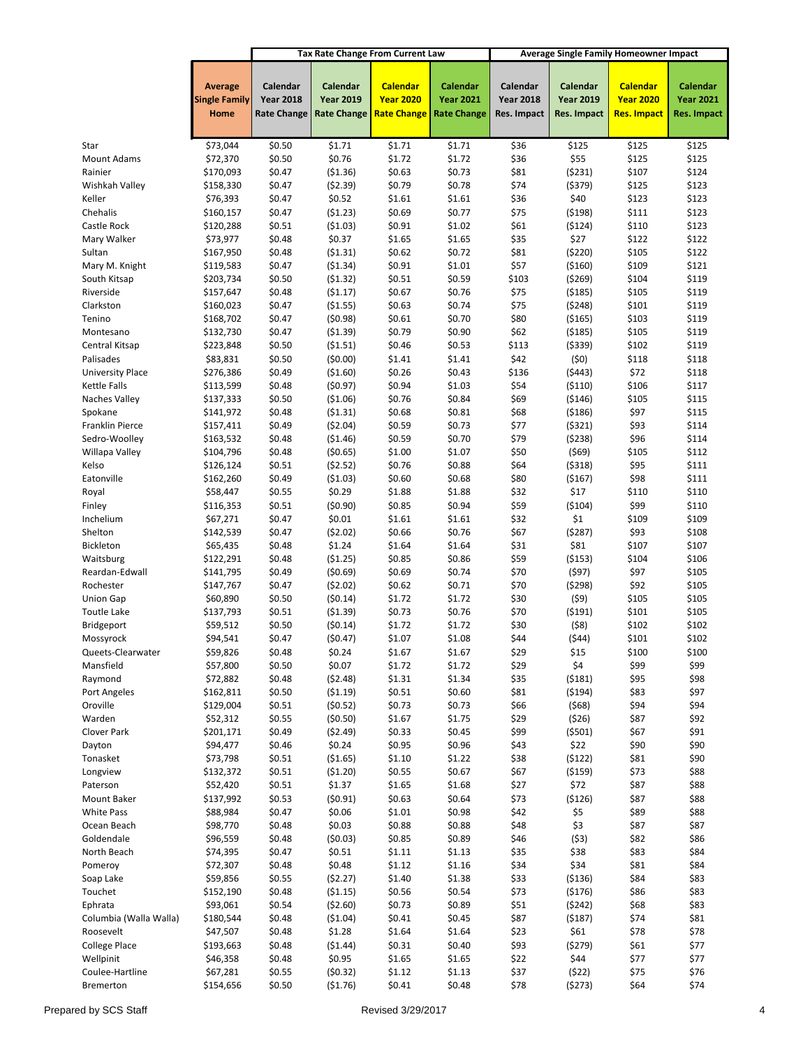|                             |                        |                    |                     | <b>Tax Rate Change From Current Law</b> |                    | <b>Average Single Family Homeowner Impact</b> |                      |                  |                    |
|-----------------------------|------------------------|--------------------|---------------------|-----------------------------------------|--------------------|-----------------------------------------------|----------------------|------------------|--------------------|
|                             | <b>Average</b>         | Calendar           | Calendar            | <b>Calendar</b>                         | Calendar           | Calendar                                      | Calendar             | <b>Calendar</b>  | Calendar           |
|                             | <b>Single Family</b>   | <b>Year 2018</b>   | <b>Year 2019</b>    | <b>Year 2020</b>                        | <b>Year 2021</b>   | <b>Year 2018</b>                              | <b>Year 2019</b>     | <b>Year 2020</b> | <b>Year 2021</b>   |
|                             | Home                   | <b>Rate Change</b> | <b>Rate Change</b>  | <b>Rate Change</b>                      | <b>Rate Change</b> | Res. Impact                                   | Res. Impact          | Res. Impact      | <b>Res. Impact</b> |
|                             |                        |                    |                     |                                         |                    |                                               |                      |                  |                    |
| Star                        | \$73,044               | \$0.50             | \$1.71              | \$1.71                                  | \$1.71             | \$36                                          | \$125                | \$125            | \$125              |
| <b>Mount Adams</b>          | \$72,370               | \$0.50             | \$0.76              | \$1.72                                  | \$1.72             | \$36                                          | \$55                 | \$125            | \$125              |
| Rainier                     | \$170,093              | \$0.47             | ( \$1.36)           | \$0.63                                  | \$0.73             | \$81                                          | (5231)               | \$107            | \$124              |
| Wishkah Valley              | \$158,330              | \$0.47             | (52.39)             | \$0.79                                  | \$0.78             | \$74                                          | ( \$379)             | \$125            | \$123              |
| Keller                      | \$76,393               | \$0.47             | \$0.52              | \$1.61                                  | \$1.61             | \$36                                          | \$40                 | \$123            | \$123              |
| Chehalis                    | \$160,157              | \$0.47             | (51.23)             | \$0.69                                  | \$0.77             | \$75                                          | (5198)               | \$111            | \$123              |
| Castle Rock                 | \$120,288              | \$0.51             | ( \$1.03)           | \$0.91                                  | \$1.02             | \$61                                          | (5124)               | \$110            | \$123              |
| Mary Walker                 | \$73,977               | \$0.48             | \$0.37              | \$1.65                                  | \$1.65             | \$35                                          | \$27                 | \$122            | \$122              |
| Sultan                      | \$167,950              | \$0.48             | (51.31)             | \$0.62                                  | \$0.72             | \$81                                          | (5220)               | \$105            | \$122              |
| Mary M. Knight              | \$119,583              | \$0.47             | (\$1.34)            | \$0.91                                  | \$1.01             | \$57                                          | ( \$160)             | \$109            | \$121              |
| South Kitsap                | \$203,734              | \$0.50             | (\$1.32)            | \$0.51                                  | \$0.59             | \$103                                         | (5269)               | \$104            | \$119              |
| Riverside                   | \$157,647              | \$0.48             | (51.17)             | \$0.67                                  | \$0.76             | \$75                                          | ( \$185)             | \$105            | \$119              |
| Clarkston                   | \$160,023              | \$0.47             | (51.55)             | \$0.63                                  | \$0.74             | \$75                                          | (5248)               | \$101            | \$119              |
| Tenino                      | \$168,702              | \$0.47             | (50.98)             | \$0.61                                  | \$0.70             | \$80                                          | ( \$165)             | \$103            | \$119              |
| Montesano<br>Central Kitsap | \$132,730<br>\$223,848 | \$0.47<br>\$0.50   | (\$1.39)<br>(51.51) | \$0.79<br>\$0.46                        | \$0.90<br>\$0.53   | \$62<br>\$113                                 | ( \$185)<br>( \$339) | \$105<br>\$102   | \$119<br>\$119     |
| Palisades                   | \$83,831               | \$0.50             | (50.00)             | \$1.41                                  | \$1.41             | \$42                                          | (50)                 | \$118            | \$118              |
| <b>University Place</b>     | \$276,386              | \$0.49             | (\$1.60)            | \$0.26                                  | \$0.43             | \$136                                         | (5443)               | \$72             | \$118              |
| <b>Kettle Falls</b>         | \$113,599              | \$0.48             | (50.97)             | \$0.94                                  | \$1.03             | \$54                                          | ( \$110)             | \$106            | \$117              |
| Naches Valley               | \$137,333              | \$0.50             | (\$1.06)            | \$0.76                                  | \$0.84             | \$69                                          | ( \$146)             | \$105            | \$115              |
| Spokane                     | \$141,972              | \$0.48             | (51.31)             | \$0.68                                  | \$0.81             | \$68                                          | ( \$186)             | \$97             | \$115              |
| Franklin Pierce             | \$157,411              | \$0.49             | (52.04)             | \$0.59                                  | \$0.73             | \$77                                          | (5321)               | \$93             | \$114              |
| Sedro-Woolley               | \$163,532              | \$0.48             | ( \$1.46)           | \$0.59                                  | \$0.70             | \$79                                          | (5238)               | \$96             | \$114              |
| Willapa Valley              | \$104,796              | \$0.48             | (50.65)             | \$1.00                                  | \$1.07             | \$50                                          | (569)                | \$105            | \$112              |
| Kelso                       | \$126,124              | \$0.51             | (52.52)             | \$0.76                                  | \$0.88             | \$64                                          | ( \$318)             | \$95             | \$111              |
| Eatonville                  | \$162,260              | \$0.49             | ( \$1.03)           | \$0.60                                  | \$0.68             | \$80                                          | ( \$167)             | \$98             | \$111              |
| Royal                       | \$58,447               | \$0.55             | \$0.29              | \$1.88                                  | \$1.88             | \$32                                          | \$17                 | \$110            | \$110              |
| Finley                      | \$116,353              | \$0.51             | (50.90)             | \$0.85                                  | \$0.94             | \$59                                          | ( \$104)             | \$99             | \$110              |
| Inchelium                   | \$67,271               | \$0.47             | \$0.01              | \$1.61                                  | \$1.61             | \$32                                          | \$1                  | \$109            | \$109              |
| Shelton                     | \$142,539              | \$0.47             | (52.02)             | \$0.66                                  | \$0.76             | \$67                                          | (5287)               | \$93             | \$108              |
| Bickleton                   | \$65,435               | \$0.48             | \$1.24              | \$1.64                                  | \$1.64             | \$31                                          | \$81                 | \$107            | \$107              |
| Waitsburg<br>Reardan-Edwall | \$122,291<br>\$141,795 | \$0.48<br>\$0.49   | (\$1.25)<br>(50.69) | \$0.85<br>\$0.69                        | \$0.86<br>\$0.74   | \$59<br>\$70                                  | ( \$153)<br>(597)    | \$104<br>\$97    | \$106<br>\$105     |
| Rochester                   | \$147,767              | \$0.47             | (52.02)             | \$0.62                                  | \$0.71             | \$70                                          | (5298)               | \$92             | \$105              |
| <b>Union Gap</b>            | \$60,890               | \$0.50             | (50.14)             | \$1.72                                  | \$1.72             | \$30                                          | (59)                 | \$105            | \$105              |
| Toutle Lake                 | \$137,793              | \$0.51             | (\$1.39)            | \$0.73                                  | \$0.76             | \$70                                          | (5191)               | \$101            | \$105              |
| Bridgeport                  | \$59,512               | \$0.50             | (50.14)             | \$1.72                                  | \$1.72             | \$30                                          | (58)                 | \$102            | \$102              |
| Mossyrock                   | \$94,541               | \$0.47             | (50.47)             | \$1.07                                  | \$1.08             | \$44                                          | (544)                | \$101            | \$102              |
| Queets-Clearwater           | \$59,826               | \$0.48             | \$0.24              | \$1.67                                  | \$1.67             | \$29                                          | \$15                 | \$100            | \$100              |
| Mansfield                   | \$57,800               | \$0.50             | \$0.07              | \$1.72                                  | \$1.72             | \$29                                          | \$4                  | \$99             | \$99               |
| Raymond                     | \$72,882               | \$0.48             | (52.48)             | \$1.31                                  | \$1.34             | \$35                                          | (5181)               | \$95             | \$98               |
| Port Angeles                | \$162,811              | \$0.50             | (\$1.19)            | \$0.51                                  | \$0.60             | \$81                                          | ( \$194)             | \$83             | \$97               |
| Oroville                    | \$129,004              | \$0.51             | (50.52)             | \$0.73                                  | \$0.73             | \$66                                          | (568)                | \$94             | \$94               |
| Warden                      | \$52,312               | \$0.55             | (50.50)             | \$1.67                                  | \$1.75             | \$29                                          | (526)                | \$87             | \$92               |
| Clover Park                 | \$201,171              | \$0.49             | (52.49)             | \$0.33                                  | \$0.45             | \$99                                          | (5501)               | \$67             | \$91               |
| Dayton                      | \$94,477               | \$0.46             | \$0.24              | \$0.95                                  | \$0.96             | \$43                                          | \$22                 | \$90             | \$90               |
| Tonasket                    | \$73,798               | \$0.51             | (\$1.65)            | \$1.10                                  | \$1.22             | \$38                                          | (5122)               | \$81             | \$90               |
| Longview<br>Paterson        | \$132,372<br>\$52,420  | \$0.51<br>\$0.51   | (51.20)<br>\$1.37   | \$0.55<br>\$1.65                        | \$0.67<br>\$1.68   | \$67<br>\$27                                  | ( \$159)<br>\$72     | \$73<br>\$87     | \$88<br>\$88       |
| Mount Baker                 | \$137,992              | \$0.53             | (50.91)             | \$0.63                                  | \$0.64             | \$73                                          | (\$126)              | \$87             | \$88               |
| <b>White Pass</b>           | \$88,984               | \$0.47             | \$0.06              | \$1.01                                  | \$0.98             | \$42                                          | \$5                  | \$89             | \$88               |
| Ocean Beach                 | \$98,770               | \$0.48             | \$0.03              | \$0.88                                  | \$0.88             | \$48                                          | \$3                  | \$87             | \$87               |
| Goldendale                  | \$96,559               | \$0.48             | (50.03)             | \$0.85                                  | \$0.89             | \$46                                          | (53)                 | \$82             | \$86               |
| North Beach                 | \$74,395               | \$0.47             | \$0.51              | \$1.11                                  | \$1.13             | \$35                                          | \$38                 | \$83             | \$84               |
| Pomeroy                     | \$72,307               | \$0.48             | \$0.48              | \$1.12                                  | \$1.16             | \$34                                          | \$34                 | \$81             | \$84               |
| Soap Lake                   | \$59,856               | \$0.55             | (52.27)             | \$1.40                                  | \$1.38             | \$33                                          | ( \$136)             | \$84             | \$83               |
| Touchet                     | \$152,190              | \$0.48             | (51.15)             | \$0.56                                  | \$0.54             | \$73                                          | (5176)               | \$86             | \$83               |
| Ephrata                     | \$93,061               | \$0.54             | (\$2.60)            | \$0.73                                  | \$0.89             | \$51                                          | (5242)               | \$68             | \$83               |
| Columbia (Walla Walla)      | \$180,544              | \$0.48             | (\$1.04)            | \$0.41                                  | \$0.45             | \$87                                          | (5187)               | \$74             | \$81               |
| Roosevelt                   | \$47,507               | \$0.48             | \$1.28              | \$1.64                                  | \$1.64             | \$23                                          | \$61                 | \$78             | \$78               |
| <b>College Place</b>        | \$193,663              | \$0.48             | ( \$1.44)           | \$0.31                                  | \$0.40             | \$93                                          | (5279)               | \$61             | \$77               |
| Wellpinit                   | \$46,358               | \$0.48             | \$0.95              | \$1.65                                  | \$1.65             | \$22                                          | \$44                 | \$77             | \$77               |
| Coulee-Hartline             | \$67,281               | \$0.55             | (50.32)             | \$1.12                                  | \$1.13             | \$37                                          | (522)                | \$75             | \$76               |
| Bremerton                   | \$154,656              | \$0.50             | (\$1.76)            | \$0.41                                  | \$0.48             | \$78                                          | (5273)               | \$64             | \$74               |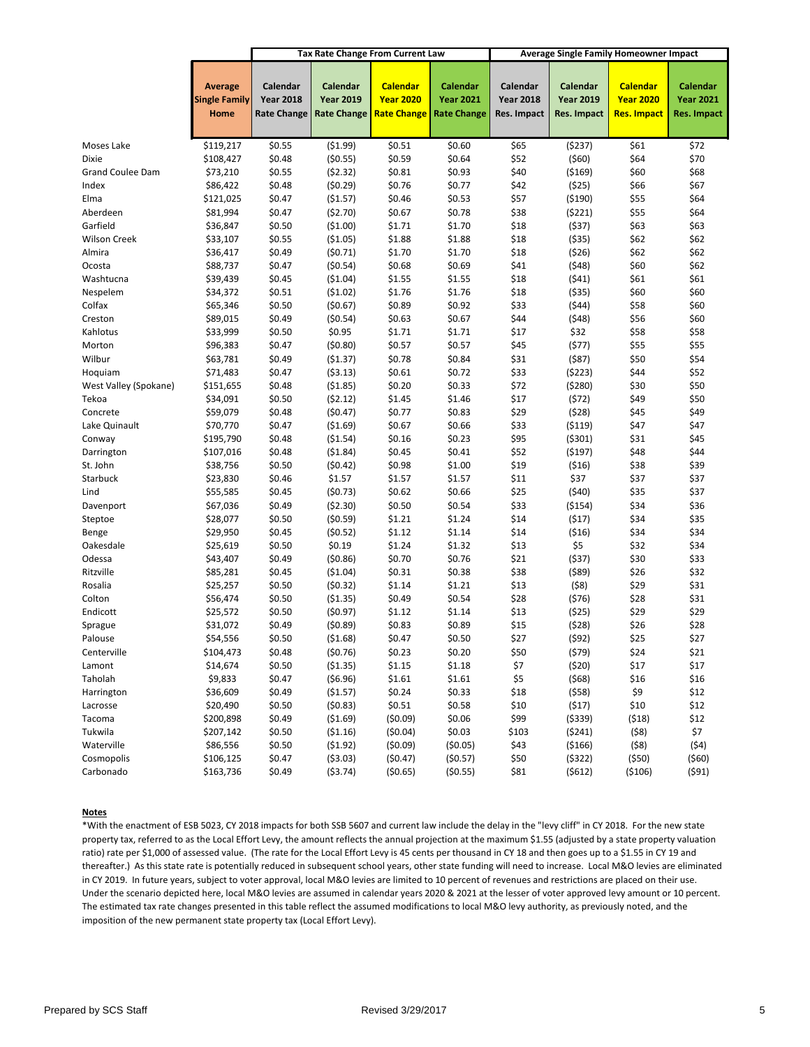|                         |                                                |                                                    |                                                    | <b>Tax Rate Change From Current Law</b>                   |                                                    |                                             | <b>Average Single Family Homeowner Impact</b> |                                                           |                                             |
|-------------------------|------------------------------------------------|----------------------------------------------------|----------------------------------------------------|-----------------------------------------------------------|----------------------------------------------------|---------------------------------------------|-----------------------------------------------|-----------------------------------------------------------|---------------------------------------------|
|                         | <b>Average</b><br><b>Single Family</b><br>Home | Calendar<br><b>Year 2018</b><br><b>Rate Change</b> | Calendar<br><b>Year 2019</b><br><b>Rate Change</b> | <b>Calendar</b><br><b>Year 2020</b><br><b>Rate Change</b> | Calendar<br><b>Year 2021</b><br><b>Rate Change</b> | Calendar<br><b>Year 2018</b><br>Res. Impact | Calendar<br><b>Year 2019</b><br>Res. Impact   | <b>Calendar</b><br><b>Year 2020</b><br><b>Res. Impact</b> | Calendar<br><b>Year 2021</b><br>Res. Impact |
| Moses Lake              | \$119,217                                      | \$0.55                                             | (51.99)                                            | \$0.51                                                    | \$0.60                                             | \$65                                        | (5237)                                        | \$61                                                      | \$72                                        |
| Dixie                   | \$108,427                                      | \$0.48                                             | (50.55)                                            | \$0.59                                                    | \$0.64                                             | \$52                                        | ( \$60]                                       | \$64                                                      | \$70                                        |
| <b>Grand Coulee Dam</b> | \$73,210                                       | \$0.55                                             | (52.32)                                            | \$0.81                                                    | \$0.93                                             | \$40                                        | ( \$169)                                      | \$60                                                      | \$68                                        |
| Index                   | \$86,422                                       | \$0.48                                             | (50.29)                                            | \$0.76                                                    | \$0.77                                             | \$42                                        | (525)                                         | \$66                                                      | \$67                                        |
| Elma                    | \$121,025                                      | \$0.47                                             | (\$1.57)                                           | \$0.46                                                    | \$0.53                                             | \$57                                        | ( \$190)                                      | \$55                                                      | \$64                                        |
| Aberdeen                | \$81,994                                       | \$0.47                                             | (52.70)                                            | \$0.67                                                    | \$0.78                                             | \$38                                        | (5221)                                        | \$55                                                      | \$64                                        |
| Garfield                | \$36,847                                       | \$0.50                                             | (\$1.00)                                           | \$1.71                                                    | \$1.70                                             | \$18                                        | (537)                                         | \$63                                                      | \$63                                        |
| <b>Wilson Creek</b>     | \$33,107                                       | \$0.55                                             | ( \$1.05)                                          | \$1.88                                                    | \$1.88                                             | \$18                                        | ( \$35)                                       | \$62                                                      | \$62                                        |
| Almira                  | \$36,417                                       | \$0.49                                             | (50.71)                                            | \$1.70                                                    | \$1.70                                             | \$18                                        | (526)                                         | \$62                                                      | \$62                                        |
| Ocosta                  | \$88,737                                       | \$0.47                                             | (50.54)                                            | \$0.68                                                    | \$0.69                                             | \$41                                        | (548)                                         | \$60                                                      | \$62                                        |
| Washtucna               | \$39,439                                       | \$0.45                                             | ( \$1.04)                                          | \$1.55                                                    | \$1.55                                             | \$18                                        | (541)                                         | \$61                                                      | \$61                                        |
| Nespelem                | \$34,372                                       | \$0.51                                             | (51.02)                                            | \$1.76                                                    | \$1.76                                             | \$18                                        | ( \$35)                                       | \$60                                                      | \$60                                        |
| Colfax                  | \$65,346                                       | \$0.50                                             | (50.67)                                            | \$0.89                                                    | \$0.92                                             | \$33                                        | (544)                                         | \$58                                                      | \$60                                        |
| Creston                 | \$89,015                                       | \$0.49                                             | (50.54)                                            | \$0.63                                                    | \$0.67                                             | \$44                                        | (548)                                         | \$56                                                      | \$60                                        |
| Kahlotus                | \$33,999                                       | \$0.50                                             | \$0.95                                             | \$1.71                                                    | \$1.71                                             | \$17                                        | \$32                                          | \$58                                                      | \$58                                        |
| Morton                  | \$96,383                                       | \$0.47                                             | (50.80)                                            | \$0.57                                                    | \$0.57                                             | \$45                                        | (577)                                         | \$55                                                      | \$55                                        |
| Wilbur                  | \$63,781                                       | \$0.49                                             | (51.37)                                            | \$0.78                                                    | \$0.84                                             | \$31                                        | (587)                                         | \$50                                                      | \$54                                        |
| Hoquiam                 | \$71,483                                       | \$0.47                                             | (53.13)                                            | \$0.61                                                    | \$0.72                                             | \$33                                        | (5223)                                        | \$44                                                      | \$52                                        |
| West Valley (Spokane)   | \$151,655                                      | \$0.48                                             | (51.85)                                            | \$0.20                                                    | \$0.33                                             | \$72                                        | (5280)                                        | \$30                                                      | \$50                                        |
| Tekoa                   | \$34,091                                       | \$0.50                                             | (52.12)                                            | \$1.45                                                    | \$1.46                                             | \$17                                        | (572)                                         | \$49                                                      | \$50                                        |
| Concrete                | \$59,079                                       | \$0.48                                             | (50.47)                                            | \$0.77                                                    | \$0.83                                             | \$29                                        | (528)                                         | \$45                                                      | \$49                                        |
| Lake Quinault           | \$70,770                                       | \$0.47                                             | ( \$1.69)                                          | \$0.67                                                    | \$0.66                                             | \$33                                        | ( \$119)                                      | \$47                                                      | \$47                                        |
| Conway                  | \$195,790                                      | \$0.48                                             | (\$1.54)                                           | \$0.16                                                    | \$0.23                                             | \$95                                        | ( \$301)                                      | \$31                                                      | \$45                                        |
| Darrington              | \$107,016                                      | \$0.48                                             | (51.84)                                            | \$0.45                                                    | \$0.41                                             | \$52                                        | (5197)                                        | \$48                                                      | \$44                                        |
| St. John                | \$38,756                                       | \$0.50                                             | (50.42)                                            | \$0.98                                                    | \$1.00                                             | \$19                                        | (516)                                         | \$38                                                      | \$39                                        |
| Starbuck                | \$23,830                                       | \$0.46                                             | \$1.57                                             | \$1.57                                                    | \$1.57                                             | \$11                                        | \$37                                          | \$37                                                      | \$37                                        |
| Lind                    | \$55,585                                       | \$0.45                                             | (50.73)                                            | \$0.62                                                    | \$0.66                                             | \$25                                        | (540)                                         | \$35                                                      | \$37                                        |
| Davenport               | \$67,036                                       | \$0.49                                             | (52.30)                                            | \$0.50                                                    | \$0.54                                             | \$33                                        | ( \$154)                                      | \$34                                                      | \$36                                        |
| Steptoe                 | \$28,077                                       | \$0.50                                             | (50.59)                                            | \$1.21                                                    | \$1.24                                             | \$14                                        | (517)                                         | \$34                                                      | \$35                                        |
| Benge                   | \$29,950                                       | \$0.45                                             | (50.52)                                            | \$1.12                                                    | \$1.14                                             | \$14                                        | (516)                                         | \$34                                                      | \$34                                        |
| Oakesdale               | \$25,619                                       | \$0.50                                             | \$0.19                                             | \$1.24                                                    | \$1.32                                             | \$13                                        | \$5                                           | \$32                                                      | \$34                                        |
| Odessa                  | \$43,407                                       | \$0.49                                             | (50.86)                                            | \$0.70                                                    | \$0.76                                             | \$21                                        | (537)                                         | \$30                                                      | \$33                                        |
| Ritzville               | \$85,281                                       | \$0.45                                             | ( \$1.04)                                          | \$0.31                                                    | \$0.38                                             | \$38                                        | (589)                                         | \$26                                                      | \$32                                        |
| Rosalia                 | \$25,257                                       | \$0.50                                             | (50.32)                                            | \$1.14                                                    | \$1.21                                             | \$13                                        | (58)                                          | \$29                                                      | \$31                                        |
| Colton                  | \$56,474                                       | \$0.50                                             | ( \$1.35)                                          | \$0.49                                                    | \$0.54                                             | \$28                                        | (576)                                         | \$28                                                      | \$31                                        |
| Endicott                | \$25,572                                       | \$0.50                                             | (50.97)                                            | \$1.12                                                    | \$1.14                                             | \$13                                        | (525)                                         | \$29                                                      | \$29                                        |
| Sprague                 | \$31,072                                       | \$0.49                                             | (50.89)                                            | \$0.83                                                    | \$0.89                                             | \$15                                        | (528)                                         | \$26                                                      | \$28                                        |
| Palouse                 | \$54,556                                       | \$0.50                                             | (\$1.68)                                           | \$0.47                                                    | \$0.50                                             | \$27                                        | (592)                                         | \$25                                                      | \$27                                        |
| Centerville             | \$104,473                                      | \$0.48                                             | (50.76)                                            | \$0.23                                                    | \$0.20                                             | \$50                                        | (579)                                         | \$24                                                      | \$21                                        |
| Lamont                  | \$14,674                                       | \$0.50                                             | (51.35)                                            | \$1.15                                                    | \$1.18                                             | \$7                                         | (520)                                         | \$17                                                      | \$17                                        |
| Taholah                 | \$9,833                                        | \$0.47                                             | (56.96)                                            | \$1.61                                                    | \$1.61                                             | \$5                                         | (568)                                         | \$16                                                      | \$16                                        |
| Harrington              | \$36,609                                       | \$0.49                                             | (\$1.57)                                           | \$0.24                                                    | \$0.33                                             | \$18                                        | (558)                                         | \$9                                                       | \$12                                        |
| Lacrosse                | \$20,490                                       | \$0.50                                             | (50.83)                                            | \$0.51                                                    | \$0.58                                             | \$10                                        | (517)                                         | \$10                                                      | \$12                                        |
| Tacoma                  | \$200,898                                      | \$0.49                                             | (\$1.69)                                           | (50.09)                                                   | \$0.06                                             | \$99                                        | ( \$339)                                      | (518)                                                     | \$12                                        |
| Tukwila                 | \$207,142                                      | \$0.50                                             | (51.16)                                            | (50.04)                                                   | \$0.03                                             | \$103                                       | (5241)                                        | (58)                                                      | \$7                                         |
| Waterville              | \$86,556                                       | \$0.50                                             | (51.92)                                            | (50.09)                                                   | (50.05)                                            | \$43                                        | ( \$166)                                      | (58)                                                      | (54)                                        |
| Cosmopolis              | \$106,125                                      | \$0.47                                             | ( \$3.03)                                          | (50.47)                                                   | (50.57)                                            | \$50                                        | (5322)                                        | (550)                                                     | (560)                                       |
| Carbonado               | \$163,736                                      | \$0.49                                             | (53.74)                                            | (50.65)                                                   | (50.55)                                            | \$81                                        | (5612)                                        | ( \$106)                                                  | (591)                                       |
|                         |                                                |                                                    |                                                    |                                                           |                                                    |                                             |                                               |                                                           |                                             |

#### **Notes**

\*With the enactment of ESB 5023, CY 2018 impacts for both SSB 5607 and current law include the delay in the "levy cliff" in CY 2018. For the new state property tax, referred to as the Local Effort Levy, the amount reflects the annual projection at the maximum \$1.55 (adjusted by a state property valuation ratio) rate per \$1,000 of assessed value. (The rate for the Local Effort Levy is 45 cents per thousand in CY 18 and then goes up to a \$1.55 in CY 19 and thereafter.) As this state rate is potentially reduced in subsequent school years, other state funding will need to increase. Local M&O levies are eliminated in CY 2019. In future years, subject to voter approval, local M&O levies are limited to 10 percent of revenues and restrictions are placed on their use. Under the scenario depicted here, local M&O levies are assumed in calendar years 2020 & 2021 at the lesser of voter approved levy amount or 10 percent. The estimated tax rate changes presented in this table reflect the assumed modifications to local M&O levy authority, as previously noted, and the imposition of the new permanent state property tax (Local Effort Levy).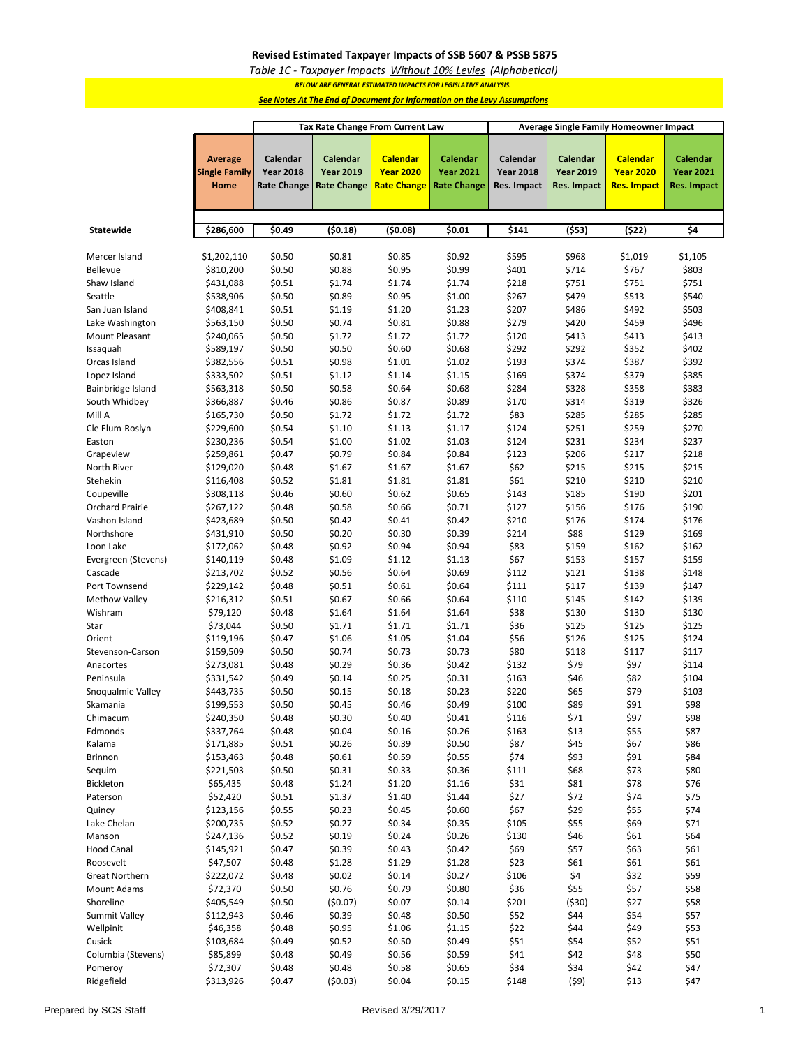#### **Revised Estimated Taxpayer Impacts of SSB 5607 & PSSB 5875**

*Table 1C - Taxpayer Impacts Without 10% Levies (Alphabetical)*

*BELOW ARE GENERAL ESTIMATED IMPACTS FOR LEGISLATIVE ANALYSIS.* 

*See Notes At The End of Document for Information on the Levy Assumptions*

|                        |                                                | Tax Rate Change From Current Law                   |                                                    |                                                           |                                                    |                                             | Average Single Family Homeowner Impact             |                                                    |                                                    |  |  |
|------------------------|------------------------------------------------|----------------------------------------------------|----------------------------------------------------|-----------------------------------------------------------|----------------------------------------------------|---------------------------------------------|----------------------------------------------------|----------------------------------------------------|----------------------------------------------------|--|--|
|                        | <b>Average</b><br><b>Single Family</b><br>Home | Calendar<br><b>Year 2018</b><br><b>Rate Change</b> | Calendar<br><b>Year 2019</b><br><b>Rate Change</b> | <b>Calendar</b><br><b>Year 2020</b><br><b>Rate Change</b> | Calendar<br><b>Year 2021</b><br><b>Rate Change</b> | Calendar<br><b>Year 2018</b><br>Res. Impact | Calendar<br><b>Year 2019</b><br><b>Res. Impact</b> | <b>Calendar</b><br><b>Year 2020</b><br>Res. Impact | Calendar<br><b>Year 2021</b><br><b>Res. Impact</b> |  |  |
|                        |                                                |                                                    |                                                    |                                                           |                                                    |                                             |                                                    |                                                    |                                                    |  |  |
| Statewide              | \$286,600                                      | \$0.49                                             | (50.18)                                            | (50.08)                                                   | \$0.01                                             | \$141                                       | (553)                                              | (522)                                              | \$4                                                |  |  |
| Mercer Island          | \$1,202,110                                    | \$0.50                                             | \$0.81                                             | \$0.85                                                    | \$0.92                                             | \$595                                       | \$968                                              | \$1,019                                            | \$1,105                                            |  |  |
| <b>Bellevue</b>        | \$810,200                                      | \$0.50                                             | \$0.88                                             | \$0.95                                                    | \$0.99                                             | \$401                                       | \$714                                              | \$767                                              | \$803                                              |  |  |
| Shaw Island            | \$431,088                                      | \$0.51                                             | \$1.74                                             | \$1.74                                                    | \$1.74                                             | \$218                                       | \$751                                              | \$751                                              | \$751                                              |  |  |
| Seattle                | \$538,906                                      | \$0.50                                             | \$0.89                                             | \$0.95                                                    | \$1.00                                             | \$267                                       | \$479                                              | \$513                                              | \$540                                              |  |  |
| San Juan Island        | \$408,841                                      | \$0.51                                             | \$1.19                                             | \$1.20                                                    | \$1.23                                             | \$207                                       | \$486                                              | \$492                                              | \$503                                              |  |  |
| Lake Washington        | \$563,150                                      | \$0.50                                             | \$0.74                                             | \$0.81                                                    | \$0.88                                             | \$279                                       | \$420                                              | \$459                                              | \$496                                              |  |  |
| Mount Pleasant         | \$240,065                                      | \$0.50                                             | \$1.72                                             | \$1.72                                                    | \$1.72                                             | \$120                                       | \$413                                              | \$413                                              | \$413                                              |  |  |
| Issaquah               | \$589,197                                      | \$0.50                                             | \$0.50                                             | \$0.60                                                    | \$0.68                                             | \$292                                       | \$292                                              | \$352                                              | \$402                                              |  |  |
| Orcas Island           | \$382,556                                      | \$0.51                                             | \$0.98                                             | \$1.01                                                    | \$1.02                                             | \$193                                       | \$374                                              | \$387                                              | \$392                                              |  |  |
| Lopez Island           | \$333,502                                      | \$0.51                                             | \$1.12                                             | \$1.14                                                    | \$1.15                                             | \$169                                       | \$374                                              | \$379                                              | \$385                                              |  |  |
| Bainbridge Island      | \$563,318                                      | \$0.50                                             | \$0.58                                             | \$0.64                                                    | \$0.68                                             | \$284                                       | \$328                                              | \$358                                              | \$383                                              |  |  |
| South Whidbey          | \$366,887                                      | \$0.46                                             | \$0.86                                             | \$0.87                                                    | \$0.89                                             | \$170                                       | \$314                                              | \$319                                              | \$326                                              |  |  |
| Mill A                 | \$165,730                                      | \$0.50                                             | \$1.72                                             | \$1.72                                                    | \$1.72                                             | \$83                                        | \$285                                              | \$285                                              | \$285                                              |  |  |
| Cle Elum-Roslyn        | \$229,600                                      | \$0.54                                             | \$1.10                                             | \$1.13                                                    | \$1.17                                             | \$124                                       | \$251                                              | \$259                                              | \$270                                              |  |  |
| Easton                 | \$230,236                                      | \$0.54                                             | \$1.00                                             | \$1.02                                                    | \$1.03                                             | \$124                                       | \$231                                              | \$234                                              | \$237                                              |  |  |
| Grapeview              | \$259,861                                      | \$0.47                                             | \$0.79                                             | \$0.84                                                    | \$0.84                                             | \$123                                       | \$206                                              | \$217                                              | \$218                                              |  |  |
| North River            | \$129,020                                      | \$0.48                                             | \$1.67                                             | \$1.67                                                    | \$1.67                                             | \$62                                        | \$215                                              | \$215                                              | \$215                                              |  |  |
| Stehekin               | \$116,408                                      | \$0.52                                             | \$1.81                                             | \$1.81                                                    | \$1.81                                             | \$61                                        | \$210                                              | \$210                                              | \$210                                              |  |  |
| Coupeville             | \$308,118                                      | \$0.46                                             | \$0.60                                             | \$0.62                                                    | \$0.65                                             | \$143                                       | \$185                                              | \$190                                              | \$201                                              |  |  |
| <b>Orchard Prairie</b> | \$267,122                                      | \$0.48                                             | \$0.58                                             | \$0.66                                                    | \$0.71                                             | \$127                                       | \$156                                              | \$176                                              | \$190                                              |  |  |
| Vashon Island          | \$423,689                                      | \$0.50                                             | \$0.42                                             | \$0.41                                                    | \$0.42                                             | \$210                                       | \$176                                              | \$174                                              | \$176                                              |  |  |
| Northshore             | \$431,910                                      | \$0.50                                             | \$0.20                                             | \$0.30                                                    | \$0.39                                             | \$214                                       | \$88                                               | \$129                                              | \$169                                              |  |  |
| Loon Lake              | \$172,062                                      | \$0.48                                             | \$0.92                                             | \$0.94                                                    | \$0.94                                             | \$83                                        | \$159                                              | \$162                                              | \$162                                              |  |  |
| Evergreen (Stevens)    | \$140,119                                      | \$0.48                                             | \$1.09                                             | \$1.12                                                    | \$1.13                                             | \$67                                        | \$153                                              | \$157                                              | \$159                                              |  |  |
| Cascade                | \$213,702                                      | \$0.52                                             | \$0.56                                             | \$0.64                                                    | \$0.69                                             | \$112                                       | \$121                                              | \$138                                              | \$148                                              |  |  |
| Port Townsend          | \$229,142                                      | \$0.48                                             | \$0.51                                             | \$0.61                                                    | \$0.64                                             | \$111                                       | \$117                                              | \$139                                              | \$147                                              |  |  |
| <b>Methow Valley</b>   | \$216,312                                      | \$0.51                                             | \$0.67                                             | \$0.66                                                    | \$0.64                                             | \$110                                       | \$145                                              | \$142                                              | \$139                                              |  |  |
| Wishram                | \$79,120                                       | \$0.48                                             | \$1.64                                             | \$1.64                                                    | \$1.64                                             | \$38                                        | \$130                                              | \$130                                              | \$130                                              |  |  |
| Star                   | \$73,044                                       | \$0.50                                             | \$1.71                                             | \$1.71                                                    | \$1.71                                             | \$36                                        | \$125                                              | \$125                                              | \$125                                              |  |  |
| Orient                 | \$119,196                                      | \$0.47                                             | \$1.06                                             | \$1.05                                                    | \$1.04                                             | \$56                                        | \$126                                              | \$125                                              | \$124                                              |  |  |
| Stevenson-Carson       | \$159,509                                      | \$0.50                                             | \$0.74                                             | \$0.73                                                    | \$0.73                                             | \$80                                        | \$118                                              | \$117                                              | \$117                                              |  |  |
| Anacortes              | \$273,081                                      | \$0.48                                             | \$0.29                                             | \$0.36                                                    | \$0.42                                             | \$132                                       | \$79                                               | \$97                                               | \$114                                              |  |  |
| Peninsula              | \$331,542                                      | \$0.49                                             | \$0.14                                             | \$0.25                                                    | \$0.31                                             | \$163                                       | \$46                                               | \$82                                               | \$104                                              |  |  |
| Snoqualmie Valley      | \$443,735                                      | \$0.50                                             | \$0.15                                             | \$0.18                                                    | \$0.23                                             | \$220                                       | \$65                                               | \$79                                               | \$103                                              |  |  |
| Skamania               | \$199,553                                      | \$0.50                                             | \$0.45                                             | \$0.46                                                    | \$0.49                                             | \$100                                       | \$89                                               | \$91                                               | \$98                                               |  |  |
| Chimacum               | \$240,350                                      | \$0.48                                             | \$0.30                                             | \$0.40                                                    | \$0.41                                             | \$116                                       | \$71                                               | \$97                                               | \$98                                               |  |  |
| Edmonds                | \$337,764                                      | \$0.48                                             | \$0.04                                             | \$0.16                                                    | \$0.26                                             | \$163                                       | \$13                                               | \$55                                               | \$87                                               |  |  |
| Kalama                 | \$171,885                                      | \$0.51                                             | \$0.26                                             | \$0.39                                                    | \$0.50                                             | \$87                                        | \$45                                               | \$67                                               | \$86                                               |  |  |
| Brinnon                | \$153,463                                      | \$0.48                                             | \$0.61                                             | \$0.59                                                    | \$0.55                                             | \$74                                        | \$93                                               | \$91                                               | \$84                                               |  |  |
| Sequim                 | \$221,503                                      | \$0.50                                             | \$0.31                                             | \$0.33                                                    | \$0.36                                             | \$111                                       | \$68                                               | \$73                                               | \$80                                               |  |  |
| Bickleton              | \$65,435                                       | \$0.48                                             | \$1.24                                             | \$1.20                                                    | \$1.16                                             | \$31                                        | \$81                                               | \$78                                               | \$76                                               |  |  |
| Paterson               | \$52,420                                       | \$0.51                                             | \$1.37                                             | \$1.40                                                    | \$1.44                                             | \$27                                        | \$72                                               | \$74                                               | \$75                                               |  |  |
| Quincy                 | \$123,156                                      | \$0.55                                             | \$0.23                                             | \$0.45                                                    | \$0.60                                             | \$67                                        | \$29                                               | \$55                                               | \$74                                               |  |  |
| Lake Chelan            | \$200,735                                      | \$0.52                                             | \$0.27                                             | \$0.34                                                    | \$0.35                                             | \$105                                       | \$55                                               | \$69                                               | \$71                                               |  |  |
| Manson                 | \$247,136                                      | \$0.52                                             | \$0.19                                             | \$0.24                                                    | \$0.26                                             | \$130                                       | \$46                                               | \$61                                               | \$64                                               |  |  |
| <b>Hood Canal</b>      | \$145,921                                      | \$0.47                                             | \$0.39                                             | \$0.43                                                    | \$0.42                                             | \$69                                        | \$57                                               | \$63                                               | \$61                                               |  |  |
| Roosevelt              | \$47,507                                       | \$0.48                                             | \$1.28                                             | \$1.29                                                    | \$1.28                                             | \$23                                        | \$61                                               | \$61                                               | \$61                                               |  |  |
| <b>Great Northern</b>  | \$222,072                                      | \$0.48                                             | \$0.02                                             | \$0.14                                                    | \$0.27                                             | \$106                                       | \$4                                                | \$32                                               | \$59                                               |  |  |
| <b>Mount Adams</b>     | \$72,370                                       | \$0.50                                             | \$0.76                                             | \$0.79                                                    | \$0.80                                             | \$36                                        | \$55                                               | \$57                                               | \$58                                               |  |  |
| Shoreline              | \$405,549                                      | \$0.50                                             | (50.07)                                            | \$0.07                                                    | \$0.14                                             | \$201                                       | (530)                                              | \$27                                               | \$58                                               |  |  |
| Summit Valley          | \$112,943                                      | \$0.46                                             | \$0.39                                             | \$0.48                                                    | \$0.50                                             | \$52                                        | \$44                                               | \$54                                               | \$57                                               |  |  |
| Wellpinit              | \$46,358                                       | \$0.48                                             | \$0.95                                             | \$1.06                                                    | \$1.15                                             | \$22                                        | \$44                                               | \$49                                               | \$53                                               |  |  |
| Cusick                 | \$103,684                                      | \$0.49                                             | \$0.52                                             | \$0.50                                                    | \$0.49                                             | \$51                                        | \$54                                               | \$52                                               | \$51                                               |  |  |
| Columbia (Stevens)     | \$85,899                                       | \$0.48<br>\$0.48                                   | \$0.49<br>\$0.48                                   | \$0.56<br>\$0.58                                          | \$0.59<br>\$0.65                                   | \$41<br>\$34                                | \$42<br>\$34                                       | \$48<br>\$42                                       | \$50<br>\$47                                       |  |  |
| Pomeroy<br>Ridgefield  | \$72,307<br>\$313,926                          | \$0.47                                             |                                                    | \$0.04                                                    | \$0.15                                             | \$148                                       | (59)                                               | \$13                                               | \$47                                               |  |  |
|                        |                                                |                                                    | (50.03)                                            |                                                           |                                                    |                                             |                                                    |                                                    |                                                    |  |  |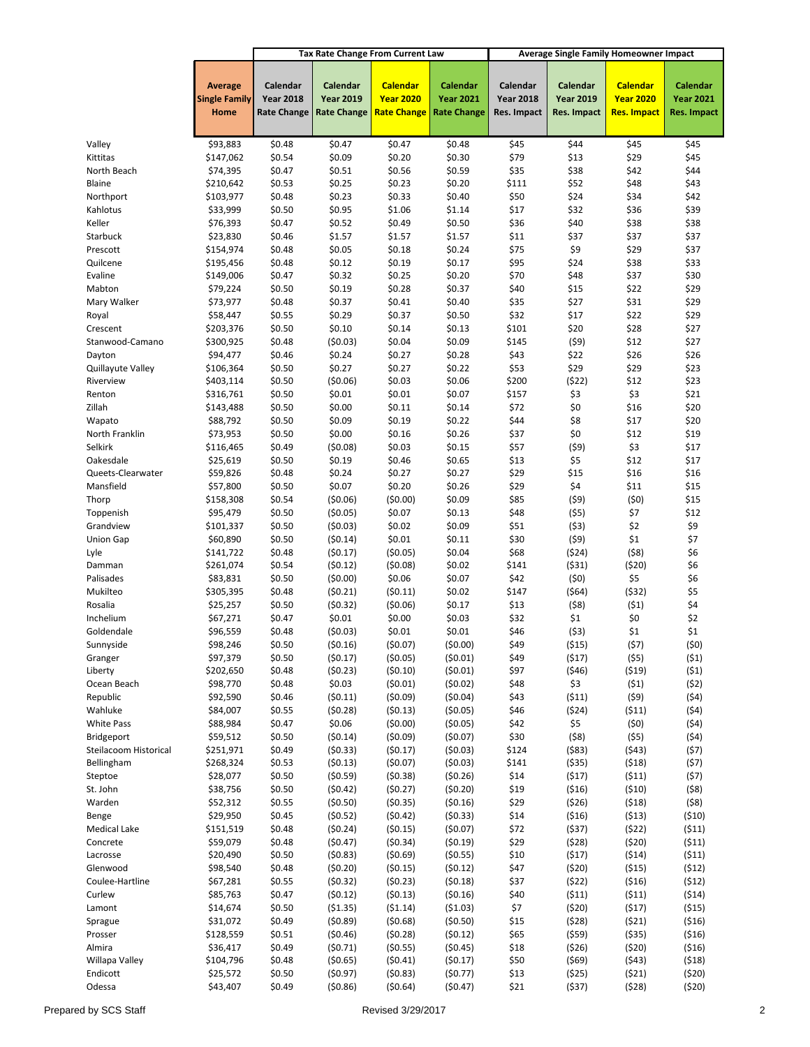|                                |                                                |                                                    |                                                    | <b>Tax Rate Change From Current Law</b>                   |                                                           |                                             | <b>Average Single Family Homeowner Impact</b> |                                                           |                                                    |
|--------------------------------|------------------------------------------------|----------------------------------------------------|----------------------------------------------------|-----------------------------------------------------------|-----------------------------------------------------------|---------------------------------------------|-----------------------------------------------|-----------------------------------------------------------|----------------------------------------------------|
|                                | <b>Average</b><br><b>Single Family</b><br>Home | Calendar<br><b>Year 2018</b><br><b>Rate Change</b> | Calendar<br><b>Year 2019</b><br><b>Rate Change</b> | <b>Calendar</b><br><b>Year 2020</b><br><b>Rate Change</b> | <b>Calendar</b><br><b>Year 2021</b><br><b>Rate Change</b> | Calendar<br><b>Year 2018</b><br>Res. Impact | Calendar<br><b>Year 2019</b><br>Res. Impact   | <b>Calendar</b><br><b>Year 2020</b><br><b>Res. Impact</b> | <b>Calendar</b><br><b>Year 2021</b><br>Res. Impact |
| Valley                         | \$93,883                                       | \$0.48                                             | \$0.47                                             | \$0.47                                                    | \$0.48                                                    | \$45                                        | \$44                                          | \$45                                                      | \$45                                               |
| Kittitas                       | \$147,062                                      | \$0.54                                             | \$0.09                                             | \$0.20                                                    | \$0.30                                                    | \$79                                        | \$13                                          | \$29                                                      | \$45                                               |
| North Beach                    | \$74,395                                       | \$0.47                                             | \$0.51                                             | \$0.56                                                    | \$0.59                                                    | \$35                                        | \$38                                          | \$42                                                      | \$44                                               |
| Blaine                         | \$210,642                                      | \$0.53                                             | \$0.25                                             | \$0.23                                                    | \$0.20                                                    | \$111                                       | \$52                                          | \$48                                                      | \$43                                               |
| Northport                      | \$103,977                                      | \$0.48                                             | \$0.23                                             | \$0.33                                                    | \$0.40                                                    | \$50                                        | \$24                                          | \$34                                                      | \$42                                               |
| Kahlotus                       | \$33,999                                       | \$0.50                                             | \$0.95                                             | \$1.06                                                    | \$1.14                                                    | \$17                                        | \$32                                          | \$36                                                      | \$39                                               |
| Keller                         | \$76,393                                       | \$0.47                                             | \$0.52                                             | \$0.49                                                    | \$0.50                                                    | \$36                                        | \$40                                          | \$38                                                      | \$38                                               |
| Starbuck                       | \$23,830                                       | \$0.46                                             | \$1.57                                             | \$1.57                                                    | \$1.57                                                    | \$11                                        | \$37                                          | \$37                                                      | \$37                                               |
| Prescott                       | \$154,974                                      | \$0.48                                             | \$0.05                                             | \$0.18                                                    | \$0.24                                                    | \$75                                        | \$9                                           | \$29                                                      | \$37                                               |
| Quilcene                       | \$195,456                                      | \$0.48                                             | \$0.12                                             | \$0.19                                                    | \$0.17                                                    | \$95                                        | \$24                                          | \$38                                                      | \$33                                               |
| Evaline                        | \$149,006                                      | \$0.47                                             | \$0.32                                             | \$0.25                                                    | \$0.20                                                    | \$70                                        | \$48                                          | \$37                                                      | \$30                                               |
| Mabton                         | \$79,224                                       | \$0.50                                             | \$0.19                                             | \$0.28                                                    | \$0.37                                                    | \$40                                        | \$15                                          | \$22                                                      | \$29                                               |
| Mary Walker                    | \$73,977                                       | \$0.48                                             | \$0.37                                             | \$0.41                                                    | \$0.40                                                    | \$35                                        | \$27                                          | \$31                                                      | \$29                                               |
| Royal                          | \$58,447                                       | \$0.55                                             | \$0.29                                             | \$0.37                                                    | \$0.50                                                    | \$32                                        | \$17                                          | \$22                                                      | \$29                                               |
| Crescent                       | \$203,376                                      | \$0.50                                             | \$0.10                                             | \$0.14                                                    | \$0.13                                                    | \$101                                       | \$20                                          | \$28                                                      | \$27                                               |
| Stanwood-Camano                | \$300,925                                      | \$0.48                                             | (50.03)                                            | \$0.04                                                    | \$0.09                                                    | \$145                                       | (59)                                          | \$12                                                      | \$27                                               |
| Dayton                         | \$94,477                                       | \$0.46                                             | \$0.24                                             | \$0.27                                                    | \$0.28                                                    | \$43                                        | \$22                                          | \$26                                                      | \$26                                               |
| Quillayute Valley              | \$106,364                                      | \$0.50                                             | \$0.27                                             | \$0.27                                                    | \$0.22                                                    | \$53                                        | \$29                                          | \$29                                                      | \$23                                               |
| Riverview                      | \$403,114                                      | \$0.50                                             | (50.06)                                            | \$0.03                                                    | \$0.06                                                    | \$200                                       | (522)                                         | \$12                                                      | \$23                                               |
| Renton                         | \$316,761                                      | \$0.50                                             | \$0.01                                             | \$0.01                                                    | \$0.07                                                    | \$157                                       | \$3                                           | \$3                                                       | \$21                                               |
| Zillah                         | \$143,488                                      | \$0.50                                             | \$0.00                                             | \$0.11                                                    | \$0.14                                                    | \$72                                        | \$0                                           | \$16                                                      | \$20                                               |
| Wapato                         | \$88,792                                       | \$0.50                                             | \$0.09                                             | \$0.19                                                    | \$0.22                                                    | \$44                                        | \$8                                           | \$17                                                      | \$20                                               |
| North Franklin                 | \$73,953                                       | \$0.50                                             | \$0.00                                             | \$0.16                                                    | \$0.26                                                    | \$37                                        | \$0                                           | \$12                                                      | \$19                                               |
| Selkirk                        | \$116,465                                      | \$0.49<br>\$0.50                                   | (50.08)<br>\$0.19                                  | \$0.03                                                    | \$0.15<br>\$0.65                                          | \$57<br>\$13                                | (59)<br>\$5                                   | \$3<br>\$12                                               | \$17<br>\$17                                       |
| Oakesdale<br>Queets-Clearwater | \$25,619                                       | \$0.48                                             | \$0.24                                             | \$0.46<br>\$0.27                                          | \$0.27                                                    | \$29                                        | \$15                                          | \$16                                                      | \$16                                               |
| Mansfield                      | \$59,826<br>\$57,800                           | \$0.50                                             | \$0.07                                             | \$0.20                                                    | \$0.26                                                    | \$29                                        | \$4                                           | \$11                                                      | \$15                                               |
| Thorp                          | \$158,308                                      | \$0.54                                             | (50.06)                                            | (50.00)                                                   | \$0.09                                                    | \$85                                        | (59)                                          | (50)                                                      | \$15                                               |
| Toppenish                      | \$95,479                                       | \$0.50                                             | (50.05)                                            | \$0.07                                                    | \$0.13                                                    | \$48                                        | (55)                                          | \$7                                                       | \$12                                               |
| Grandview                      | \$101,337                                      | \$0.50                                             | (50.03)                                            | \$0.02                                                    | \$0.09                                                    | \$51                                        | (53)                                          | \$2                                                       | \$9                                                |
| Union Gap                      | \$60,890                                       | \$0.50                                             | (50.14)                                            | \$0.01                                                    | \$0.11                                                    | \$30                                        | (59)                                          | \$1                                                       | \$7                                                |
| Lyle                           | \$141,722                                      | \$0.48                                             | (50.17)                                            | (50.05)                                                   | \$0.04                                                    | \$68                                        | (524)                                         | (58)                                                      | \$6                                                |
| Damman                         | \$261,074                                      | \$0.54                                             | (50.12)                                            | (50.08)                                                   | \$0.02                                                    | \$141                                       | (531)                                         | (\$20)                                                    | \$6                                                |
| Palisades                      | \$83,831                                       | \$0.50                                             | (50.00)                                            | \$0.06                                                    | \$0.07                                                    | \$42                                        | (50)                                          | \$5                                                       | \$6                                                |
| Mukilteo                       | \$305,395                                      | \$0.48                                             | (50.21)                                            | (50.11)                                                   | \$0.02                                                    | \$147                                       | (564)                                         | (\$32)                                                    | \$5                                                |
| Rosalia                        | \$25,257                                       | \$0.50                                             | (50.32)                                            | (50.06)                                                   | \$0.17                                                    | \$13                                        | (58)                                          | (51)                                                      | \$4                                                |
| Inchelium                      | \$67,271                                       | \$0.47                                             | \$0.01                                             | \$0.00                                                    | \$0.03                                                    | \$32                                        | \$1                                           | \$0                                                       | \$2                                                |
| Goldendale                     | \$96,559                                       | \$0.48                                             | (50.03)                                            | \$0.01                                                    | \$0.01                                                    | \$46                                        | (\$3)                                         | \$1                                                       | \$1                                                |
| Sunnyside                      | \$98,246                                       | \$0.50                                             | (\$0.16)                                           | (50.07)                                                   | (50.00)                                                   | Ş49                                         | (515)                                         | (\$7)                                                     | (\$0)                                              |
| Granger                        | \$97,379                                       | \$0.50                                             | (50.17)                                            | (50.05)                                                   | (50.01)                                                   | \$49                                        | (517)                                         | (55)                                                      | (51)                                               |
| Liberty                        | \$202,650                                      | \$0.48                                             | (50.23)                                            | (50.10)                                                   | (50.01)                                                   | \$97                                        | (546)                                         | (519)                                                     | (51)                                               |
| Ocean Beach                    | \$98,770                                       | \$0.48                                             | \$0.03                                             | (50.01)                                                   | (50.02)                                                   | \$48                                        | \$3                                           | (51)                                                      | (52)                                               |
| Republic                       | \$92,590                                       | \$0.46                                             | (50.11)                                            | (50.09)                                                   | (50.04)                                                   | \$43                                        | (511)                                         | (59)                                                      | (54)                                               |
| Wahluke                        | \$84,007                                       | \$0.55                                             | (50.28)                                            | (50.13)                                                   | (50.05)                                                   | \$46                                        | (524)                                         | (511)                                                     | (54)                                               |
| <b>White Pass</b>              | \$88,984                                       | \$0.47                                             | \$0.06                                             | (50.00)                                                   | (50.05)                                                   | \$42                                        | \$5                                           | (50)                                                      | (54)                                               |
| Bridgeport                     | \$59,512                                       | \$0.50                                             | (50.14)                                            | (50.09)                                                   | (\$0.07)                                                  | \$30                                        | (58)                                          | (55)                                                      | (54)                                               |
| Steilacoom Historical          | \$251,971                                      | \$0.49<br>\$0.53                                   | (50.33)                                            | (50.17)<br>(50.07)                                        | (50.03)<br>(50.03)                                        | \$124<br>\$141                              | $($ \$83)<br>( \$35)                          | (543)                                                     | (57)                                               |
| Bellingham<br>Steptoe          | \$268,324<br>\$28,077                          | \$0.50                                             | (50.13)<br>(50.59)                                 | (50.38)                                                   | (50.26)                                                   | \$14                                        | (517)                                         | (518)<br>(511)                                            | (57)<br>(57)                                       |
| St. John                       | \$38,756                                       | \$0.50                                             | (50.42)                                            | (50.27)                                                   | (50.20)                                                   | \$19                                        | ( \$16)                                       | (510)                                                     | (58)                                               |
| Warden                         | \$52,312                                       | \$0.55                                             | (50.50)                                            | (50.35)                                                   | (50.16)                                                   | \$29                                        | (526)                                         | (518)                                                     | (58)                                               |
| Benge                          | \$29,950                                       | \$0.45                                             | (50.52)                                            | (50.42)                                                   | (50.33)                                                   | \$14                                        | (516)                                         | (513)                                                     | (510)                                              |
| Medical Lake                   | \$151,519                                      | \$0.48                                             | (50.24)                                            | (50.15)                                                   | (50.07)                                                   | \$72                                        | (537)                                         | (522)                                                     | (511)                                              |
| Concrete                       | \$59,079                                       | \$0.48                                             | (50.47)                                            | (50.34)                                                   | (50.19)                                                   | \$29                                        | (528)                                         | (520)                                                     | (511)                                              |
| Lacrosse                       | \$20,490                                       | \$0.50                                             | (50.83)                                            | (50.69)                                                   | (50.55)                                                   | \$10                                        | (517)                                         | (514)                                                     | (511)                                              |
| Glenwood                       | \$98,540                                       | \$0.48                                             | (50.20)                                            | (50.15)                                                   | (50.12)                                                   | \$47                                        | (520)                                         | (515)                                                     | (512)                                              |
| Coulee-Hartline                | \$67,281                                       | \$0.55                                             | (50.32)                                            | (50.23)                                                   | (50.18)                                                   | \$37                                        | (522)                                         | (516)                                                     | (512)                                              |
| Curlew                         | \$85,763                                       | \$0.47                                             | (50.12)                                            | (50.13)                                                   | (50.16)                                                   | \$40                                        | (511)                                         | (511)                                                     | (514)                                              |
| Lamont                         | \$14,674                                       | \$0.50                                             | (\$1.35)                                           | (51.14)                                                   | (\$1.03)                                                  | \$7                                         | (520)                                         | (517)                                                     | (515)                                              |
| Sprague                        | \$31,072                                       | \$0.49                                             | (50.89)                                            | (50.68)                                                   | (\$0.50)                                                  | \$15                                        | (528)                                         | (521)                                                     | (516)                                              |
| Prosser                        | \$128,559                                      | \$0.51                                             | (\$0.46)                                           | (50.28)                                                   | (50.12)                                                   | \$65                                        | (559)                                         | ( \$35)                                                   | (516)                                              |
| Almira                         | \$36,417                                       | \$0.49                                             | (50.71)                                            | (50.55)                                                   | (50.45)                                                   | \$18                                        | (526)                                         | (520)                                                     | (516)                                              |
| Willapa Valley                 | \$104,796                                      | \$0.48                                             | (50.65)                                            | (50.41)                                                   | (50.17)                                                   | \$50                                        | (569)                                         | (543)                                                     | (518)                                              |
| Endicott                       | \$25,572                                       | \$0.50                                             | (50.97)                                            | (50.83)                                                   | (50.77)                                                   | \$13                                        | (525)                                         | (521)                                                     | (520)                                              |
| Odessa                         | \$43,407                                       | \$0.49                                             | (50.86)                                            | (50.64)                                                   | (50.47)                                                   | \$21                                        | (537)                                         | (528)                                                     | (520)                                              |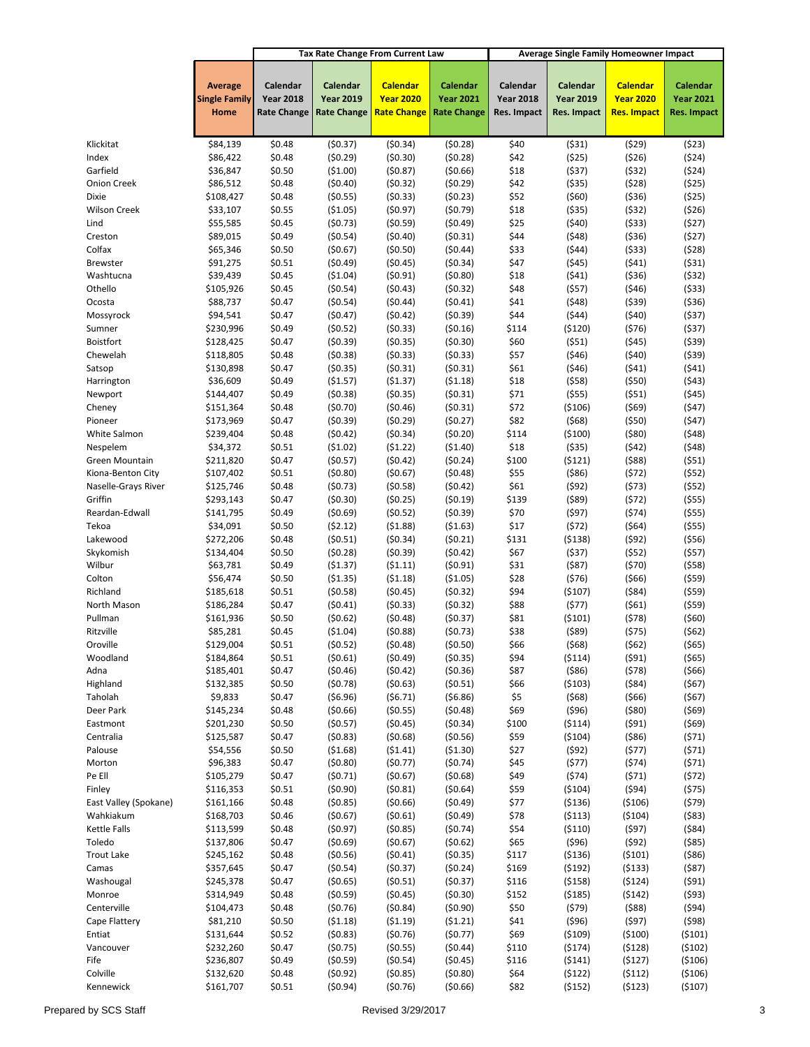|                          |                                                |                                                    |                                                    | <b>Tax Rate Change From Current Law</b>                   |                                                    | <b>Average Single Family Homeowner Impact</b> |                                             |                                                           |                                             |
|--------------------------|------------------------------------------------|----------------------------------------------------|----------------------------------------------------|-----------------------------------------------------------|----------------------------------------------------|-----------------------------------------------|---------------------------------------------|-----------------------------------------------------------|---------------------------------------------|
|                          | <b>Average</b><br><b>Single Family</b><br>Home | Calendar<br><b>Year 2018</b><br><b>Rate Change</b> | Calendar<br><b>Year 2019</b><br><b>Rate Change</b> | <b>Calendar</b><br><b>Year 2020</b><br><b>Rate Change</b> | Calendar<br><b>Year 2021</b><br><b>Rate Change</b> | Calendar<br><b>Year 2018</b><br>Res. Impact   | Calendar<br><b>Year 2019</b><br>Res. Impact | <b>Calendar</b><br><b>Year 2020</b><br><b>Res. Impact</b> | Calendar<br><b>Year 2021</b><br>Res. Impact |
|                          |                                                |                                                    |                                                    |                                                           |                                                    |                                               |                                             |                                                           |                                             |
| Klickitat                | \$84,139                                       | \$0.48                                             | (50.37)                                            | (50.34)                                                   | (50.28)                                            | \$40                                          | (531)                                       | (529)                                                     | (523)                                       |
| Index                    | \$86,422                                       | \$0.48                                             | (50.29)                                            | (50.30)                                                   | (50.28)                                            | \$42                                          | (525)                                       | (526)                                                     | (524)                                       |
| Garfield                 | \$36,847                                       | \$0.50                                             | ( \$1.00)                                          | (50.87)                                                   | (50.66)                                            | \$18                                          | (537)                                       | (532)                                                     | (524)                                       |
| <b>Onion Creek</b>       | \$86,512                                       | \$0.48                                             | (50.40)                                            | (50.32)                                                   | (50.29)                                            | \$42                                          | ( \$35)                                     | (528)                                                     | (525)                                       |
| Dixie                    | \$108,427                                      | \$0.48                                             | (50.55)                                            | (50.33)                                                   | (50.23)                                            | \$52                                          | (560)                                       | ( \$36)                                                   | (525)                                       |
| Wilson Creek             | \$33,107                                       | \$0.55                                             | ( \$1.05)                                          | (50.97)                                                   | (50.79)                                            | \$18                                          | ( \$35)                                     | (532)                                                     | (526)                                       |
| Lind                     | \$55,585                                       | \$0.45                                             | (50.73)                                            | (50.59)                                                   | (50.49)                                            | \$25                                          | (540)                                       | ( \$33)                                                   | (527)                                       |
| Creston<br>Colfax        | \$89,015                                       | \$0.49<br>\$0.50                                   | (50.54)                                            | (50.40)                                                   | (50.31)                                            | \$44<br>\$33                                  | (548)                                       | ( \$36)                                                   | (527)                                       |
| <b>Brewster</b>          | \$65,346<br>\$91,275                           | \$0.51                                             | (50.67)<br>(50.49)                                 | (50.50)<br>(50.45)                                        | (50.44)<br>(50.34)                                 | \$47                                          | (544)<br>(545)                              | ( \$33)<br>(541)                                          | (528)<br>(531)                              |
| Washtucna                | \$39,439                                       | \$0.45                                             | ( \$1.04)                                          | (50.91)                                                   | (50.80)                                            | \$18                                          | (541)                                       | ( \$36)                                                   | (532)                                       |
| Othello                  | \$105,926                                      | \$0.45                                             | (50.54)                                            | (50.43)                                                   | (50.32)                                            | \$48                                          | (557)                                       | (546)                                                     | ( \$33)                                     |
| Ocosta                   | \$88,737                                       | \$0.47                                             | (50.54)                                            | (50.44)                                                   | (50.41)                                            | \$41                                          | (548)                                       | ( \$39)                                                   | ( \$36)                                     |
| Mossyrock                | \$94,541                                       | \$0.47                                             | (50.47)                                            | (50.42)                                                   | (50.39)                                            | \$44                                          | (544)                                       | (540)                                                     | (537)                                       |
| Sumner                   | \$230,996                                      | \$0.49                                             | (50.52)                                            | (50.33)                                                   | (50.16)                                            | \$114                                         | (5120)                                      | (576)                                                     | (537)                                       |
| Boistfort                | \$128,425                                      | \$0.47                                             | (50.39)                                            | (50.35)                                                   | (50.30)                                            | \$60                                          | (551)                                       | (545)                                                     | (539)                                       |
| Chewelah                 | \$118,805                                      | \$0.48                                             | (50.38)                                            | (50.33)                                                   | (50.33)                                            | \$57                                          | (546)                                       | (540)                                                     | (539)                                       |
| Satsop                   | \$130,898                                      | \$0.47                                             | (50.35)                                            | (50.31)                                                   | (50.31)                                            | \$61                                          | (546)                                       | (541)                                                     | (541)                                       |
| Harrington               | \$36,609                                       | \$0.49                                             | ( \$1.57)                                          | (51.37)                                                   | ( \$1.18)                                          | \$18                                          | (558)                                       | (550)                                                     | (543)                                       |
| Newport                  | \$144,407                                      | \$0.49                                             | (50.38)                                            | (50.35)                                                   | (50.31)                                            | \$71                                          | $($ \$55)                                   | (551)                                                     | (545)                                       |
| Cheney                   | \$151,364                                      | \$0.48                                             | (50.70)                                            | (50.46)                                                   | (50.31)                                            | \$72                                          | (\$106)                                     | $($ \$69)                                                 | (\$47)                                      |
| Pioneer                  | \$173,969<br>\$239,404                         | \$0.47                                             | (50.39)                                            | (50.29)                                                   | (50.27)                                            | \$82                                          | (568)                                       | (550)                                                     | (547)                                       |
| White Salmon<br>Nespelem | \$34,372                                       | \$0.48<br>\$0.51                                   | (50.42)<br>( \$1.02)                               | (50.34)<br>(51.22)                                        | (50.20)<br>( \$1.40)                               | \$114<br>\$18                                 | ( \$100)<br>( \$35)                         | $($ \$80)<br>(542)                                        | (548)<br>(548)                              |
| Green Mountain           | \$211,820                                      | \$0.47                                             | (50.57)                                            | (50.42)                                                   | (50.24)                                            | \$100                                         | (5121)                                      | ( \$88)                                                   | (551)                                       |
| Kiona-Benton City        | \$107,402                                      | \$0.51                                             | (50.80)                                            | (50.67)                                                   | (50.48)                                            | \$55                                          | ( \$86)                                     | (572)                                                     | (552)                                       |
| Naselle-Grays River      | \$125,746                                      | \$0.48                                             | (50.73)                                            | (50.58)                                                   | (50.42)                                            | \$61                                          | (592)                                       | (573)                                                     | (552)                                       |
| Griffin                  | \$293,143                                      | \$0.47                                             | (50.30)                                            | (50.25)                                                   | (50.19)                                            | \$139                                         | $($ \$89)                                   | (572)                                                     | ( \$55]                                     |
| Reardan-Edwall           | \$141,795                                      | \$0.49                                             | (50.69)                                            | (50.52)                                                   | (50.39)                                            | \$70                                          | (597)                                       | (574)                                                     | (555)                                       |
| Tekoa                    | \$34,091                                       | \$0.50                                             | (52.12)                                            | (51.88)                                                   | ( \$1.63)                                          | \$17                                          | (572)                                       | $($ \$64)                                                 | ( \$55]                                     |
| Lakewood                 | \$272,206                                      | \$0.48                                             | (50.51)                                            | (50.34)                                                   | (50.21)                                            | \$131                                         | ( \$138)                                    | (592)                                                     | ( \$56)                                     |
| Skykomish                | \$134,404                                      | \$0.50                                             | (50.28)                                            | (50.39)                                                   | (50.42)                                            | \$67                                          | (537)                                       | (552)                                                     | (557)                                       |
| Wilbur                   | \$63,781                                       | \$0.49                                             | ( \$1.37)                                          | (51.11)                                                   | (50.91)                                            | \$31                                          | (587)                                       | (570)                                                     | (558)                                       |
| Colton                   | \$56,474                                       | \$0.50                                             | (\$1.35)                                           | (51.18)                                                   | ( \$1.05)                                          | \$28                                          | (576)                                       | (566)                                                     | ( \$59)                                     |
| Richland                 | \$185,618                                      | \$0.51                                             | (50.58)                                            | (50.45)                                                   | (50.32)                                            | \$94                                          | ( \$107)                                    | $($ \$84)                                                 | $($ \$59)                                   |
| North Mason<br>Pullman   | \$186,284<br>\$161,936                         | \$0.47<br>\$0.50                                   | (50.41)<br>(50.62)                                 | (50.33)<br>(50.48)                                        | (50.32)<br>(50.37)                                 | \$88<br>\$81                                  | (577)<br>(5101)                             | (561)<br>(578)                                            | ( \$59)<br>(\$60)                           |
| Ritzville                | \$85,281                                       | \$0.45                                             | ( \$1.04)                                          | (50.88)                                                   | (50.73)                                            | \$38                                          | $($ \$89)                                   | (575)                                                     | (562)                                       |
| Oroville                 | \$129,004                                      | \$0.51                                             | (50.52)                                            | (50.48)                                                   | (50.50)                                            | \$66                                          | (\$68)                                      | (\$62)                                                    | (\$65)                                      |
| Woodland                 | \$184,864                                      | \$0.51                                             | (50.61)                                            | (50.49)                                                   | (50.35)                                            | \$94                                          | (5114)                                      | (591)                                                     | ( \$65)                                     |
| Adna                     | \$185,401                                      | \$0.47                                             | (50.46)                                            | (50.42)                                                   | (50.36)                                            | \$87                                          | ( \$86)                                     | (578)                                                     | (566)                                       |
| Highland                 | \$132,385                                      | \$0.50                                             | (50.78)                                            | (50.63)                                                   | (50.51)                                            | \$66                                          | ( \$103)                                    | ( \$84)                                                   | (567)                                       |
| Taholah                  | \$9,833                                        | \$0.47                                             | ( \$6.96)                                          | (56.71)                                                   | (56.86)                                            | \$5                                           | (568)                                       | (566)                                                     | (567)                                       |
| Deer Park                | \$145,234                                      | \$0.48                                             | (50.66)                                            | (50.55)                                                   | (50.48)                                            | \$69                                          | (596)                                       | ( \$80)                                                   | (569)                                       |
| Eastmont                 | \$201,230                                      | \$0.50                                             | (50.57)                                            | (50.45)                                                   | (50.34)                                            | \$100                                         | (5114)                                      | (591)                                                     | (569)                                       |
| Centralia                | \$125,587                                      | \$0.47                                             | (50.83)                                            | (50.68)                                                   | (50.56)                                            | \$59                                          | ( \$104)                                    | ( \$86)                                                   | (571)                                       |
| Palouse                  | \$54,556                                       | \$0.50                                             | (\$1.68)                                           | (51.41)                                                   | (51.30)                                            | \$27                                          | (592)                                       | (577)                                                     | (571)                                       |
| Morton<br>Pe Ell         | \$96,383<br>\$105,279                          | \$0.47<br>\$0.47                                   | (50.80)<br>(50.71)                                 | (50.77)<br>(50.67)                                        | (50.74)<br>(50.68)                                 | \$45<br>\$49                                  | (577)<br>(574)                              | (574)                                                     | (571)                                       |
| Finley                   | \$116,353                                      | \$0.51                                             | (50.90)                                            | (50.81)                                                   | (50.64)                                            | \$59                                          | ( \$104)                                    | (571)<br>(594)                                            | (572)<br>(575)                              |
| East Valley (Spokane)    | \$161,166                                      | \$0.48                                             | (50.85)                                            | (50.66)                                                   | (50.49)                                            | \$77                                          | ( \$136)                                    | ( \$106)                                                  | (579)                                       |
| Wahkiakum                | \$168,703                                      | \$0.46                                             | (50.67)                                            | (50.61)                                                   | (50.49)                                            | \$78                                          | ( \$113)                                    | ( \$104)                                                  | ( \$83)                                     |
| Kettle Falls             | \$113,599                                      | \$0.48                                             | (50.97)                                            | (50.85)                                                   | (50.74)                                            | \$54                                          | ( \$110)                                    | (597)                                                     | ( \$84)                                     |
| Toledo                   | \$137,806                                      | \$0.47                                             | (50.69)                                            | (50.67)                                                   | (50.62)                                            | \$65                                          | (596)                                       | (592)                                                     | $($ \$85)                                   |
| <b>Trout Lake</b>        | \$245,162                                      | \$0.48                                             | (50.56)                                            | (50.41)                                                   | (50.35)                                            | \$117                                         | ( \$136)                                    | ( \$101)                                                  | ( \$86)                                     |
| Camas                    | \$357,645                                      | \$0.47                                             | (50.54)                                            | (50.37)                                                   | (50.24)                                            | \$169                                         | (5192)                                      | ( \$133)                                                  | (587)                                       |
| Washougal                | \$245,378                                      | \$0.47                                             | (50.65)                                            | (50.51)                                                   | (50.37)                                            | \$116                                         | ( \$158)                                    | (5124)                                                    | (591)                                       |
| Monroe                   | \$314,949                                      | \$0.48                                             | (50.59)                                            | (50.45)                                                   | (50.30)                                            | \$152                                         | ( \$185)                                    | (5142)                                                    | (593)                                       |
| Centerville              | \$104,473                                      | \$0.48                                             | (50.76)                                            | (50.84)                                                   | (50.90)                                            | \$50                                          | (579)                                       | (588)                                                     | (594)                                       |
| Cape Flattery            | \$81,210                                       | \$0.50                                             | (51.18)                                            | (51.19)                                                   | (51.21)                                            | \$41                                          | (596)                                       | (597)                                                     | (\$98)                                      |
| Entiat                   | \$131,644                                      | \$0.52                                             | (50.83)                                            | (50.76)                                                   | (50.77)                                            | \$69                                          | ( \$109)                                    | ( \$100)                                                  | (5101)                                      |
| Vancouver                | \$232,260                                      | \$0.47<br>\$0.49                                   | (50.75)                                            | (50.55)                                                   | (50.44)                                            | \$110<br>\$116                                | (5174)                                      | (5128)                                                    | (5102)                                      |
| Fife<br>Colville         | \$236,807<br>\$132,620                         | \$0.48                                             | (50.59)<br>(50.92)                                 | (50.54)<br>(50.85)                                        | (50.45)<br>(50.80)                                 | \$64                                          | (5141)<br>(5122)                            | (5127)<br>(5112)                                          | ( \$106)<br>( \$106)                        |
| Kennewick                | \$161,707                                      | \$0.51                                             | (50.94)                                            | (50.76)                                                   | (50.66)                                            | \$82                                          | (5152)                                      | (5123)                                                    | ( \$107)                                    |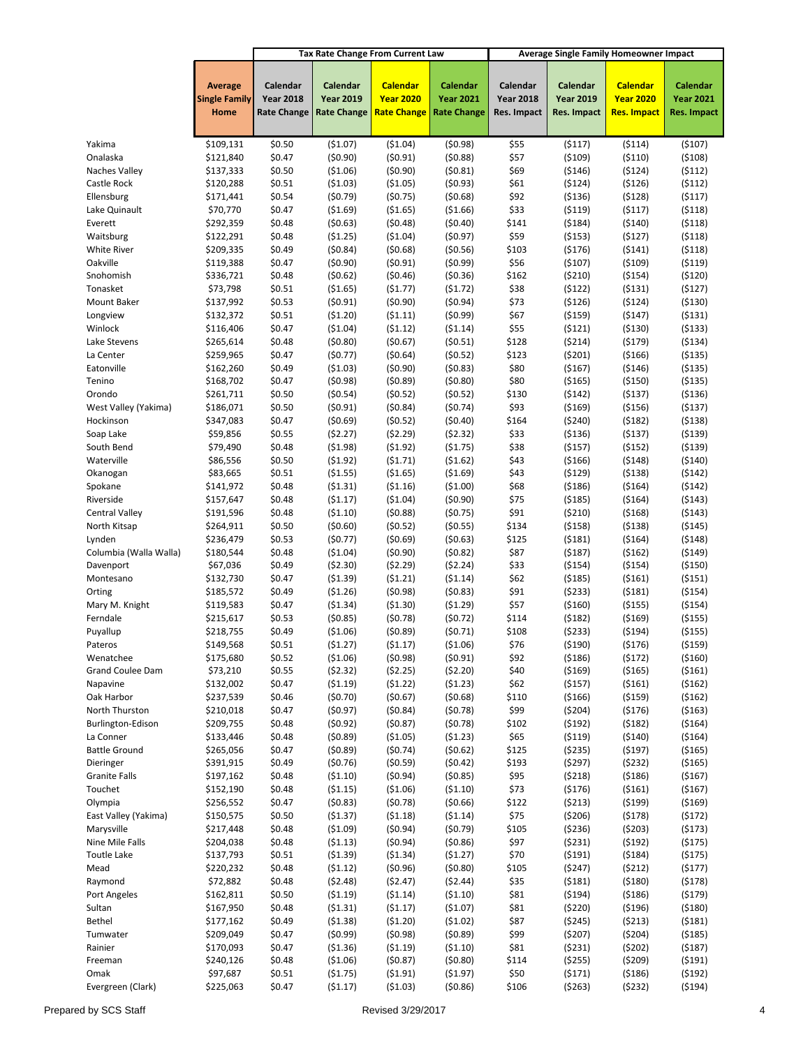|                                      | <b>Tax Rate Change From Current Law</b><br>Average Single Family Homeowner Impact |                                        |                                        |                                        |                                        |                                 |                                 |                                        |                                 |
|--------------------------------------|-----------------------------------------------------------------------------------|----------------------------------------|----------------------------------------|----------------------------------------|----------------------------------------|---------------------------------|---------------------------------|----------------------------------------|---------------------------------|
|                                      | <b>Average</b>                                                                    | Calendar                               | Calendar                               | <b>Calendar</b>                        | Calendar                               | Calendar                        | Calendar                        | <b>Calendar</b>                        | Calendar                        |
|                                      | <b>Single Family</b><br>Home                                                      | <b>Year 2018</b><br><b>Rate Change</b> | <b>Year 2019</b><br><b>Rate Change</b> | <b>Year 2020</b><br><b>Rate Change</b> | <b>Year 2021</b><br><b>Rate Change</b> | <b>Year 2018</b><br>Res. Impact | <b>Year 2019</b><br>Res. Impact | <b>Year 2020</b><br><b>Res. Impact</b> | <b>Year 2021</b><br>Res. Impact |
|                                      |                                                                                   |                                        |                                        |                                        |                                        |                                 |                                 |                                        |                                 |
| Yakima                               | \$109,131                                                                         | \$0.50                                 | (\$1.07)                               | ( \$1.04)                              | (50.98)                                | \$55                            | (5117)                          | ( \$114)                               | ( \$107)                        |
| Onalaska                             | \$121,840                                                                         | \$0.47                                 | (50.90)                                | (50.91)                                | (50.88)                                | \$57                            | ( \$109)                        | ( \$110)                               | ( \$108)                        |
| Naches Valley                        | \$137,333                                                                         | \$0.50                                 | ( \$1.06)                              | (50.90)                                | (50.81)                                | \$69                            | ( \$146)                        | ( \$124)                               | (5112)                          |
| Castle Rock                          | \$120,288                                                                         | \$0.51                                 | (\$1.03)                               | ( \$1.05)<br>(50.75)                   | (50.93)                                | \$61                            | (5124)                          | ( \$126)                               | (5112)                          |
| Ellensburg<br>Lake Quinault          | \$171,441<br>\$70,770                                                             | \$0.54<br>\$0.47                       | (50.79)<br>( \$1.69)                   | ( \$1.65)                              | (50.68)<br>( \$1.66)                   | \$92<br>\$33                    | ( \$136)<br>( \$119)            | (5128)<br>(5117)                       | (5117)<br>(5118)                |
| Everett                              | \$292,359                                                                         | \$0.48                                 | (50.63)                                | (50.48)                                | (50.40)                                | \$141                           | (5184)                          | ( \$140)                               | (5118)                          |
| Waitsburg                            | \$122,291                                                                         | \$0.48                                 | (\$1.25)                               | ( \$1.04)                              | (50.97)                                | \$59                            | ( \$153)                        | (5127)                                 | (5118)                          |
| White River                          | \$209,335                                                                         | \$0.49                                 | (50.84)                                | (50.68)                                | (50.56)                                | \$103                           | ( \$176)                        | (5141)                                 | (5118)                          |
| Oakville                             | \$119,388                                                                         | \$0.47                                 | (50.90)                                | (50.91)                                | (50.99)                                | \$56                            | (5107)                          | ( \$109)                               | ( \$119)                        |
| Snohomish                            | \$336,721                                                                         | \$0.48                                 | (50.62)                                | (50.46)                                | (50.36)                                | \$162                           | ( \$210)                        | ( \$154)                               | (5120)                          |
| Tonasket                             | \$73,798                                                                          | \$0.51                                 | ( \$1.65)                              | (51.77)                                | (51.72)                                | \$38                            | (5122)                          | ( \$131)                               | (5127)                          |
| Mount Baker<br>Longview              | \$137,992<br>\$132,372                                                            | \$0.53<br>\$0.51                       | (50.91)<br>(51.20)                     | (50.90)<br>(51.11)                     | (50.94)<br>(50.99)                     | \$73<br>\$67                    | ( \$126)<br>( \$159)            | ( \$124)<br>(5147)                     | ( \$130)<br>( \$131)            |
| Winlock                              | \$116,406                                                                         | \$0.47                                 | ( \$1.04)                              | (51.12)                                | ( \$1.14)                              | \$55                            | (5121)                          | ( \$130)                               | ( \$133)                        |
| Lake Stevens                         | \$265,614                                                                         | \$0.48                                 | (50.80)                                | (50.67)                                | (50.51)                                | \$128                           | (5214)                          | ( \$179)                               | ( \$134)                        |
| La Center                            | \$259,965                                                                         | \$0.47                                 | (50.77)                                | (50.64)                                | (50.52)                                | \$123                           | (5201)                          | ( \$166)                               | ( \$135)                        |
| Eatonville                           | \$162,260                                                                         | \$0.49                                 | ( \$1.03)                              | (50.90)                                | (50.83)                                | \$80                            | ( \$167)                        | ( \$146)                               | ( \$135)                        |
| Tenino                               | \$168,702                                                                         | \$0.47                                 | (50.98)                                | (50.89)                                | (50.80)                                | \$80                            | ( \$165)                        | ( \$150)                               | ( \$135)                        |
| Orondo                               | \$261,711                                                                         | \$0.50                                 | (50.54)                                | (50.52)                                | (50.52)                                | \$130                           | (5142)                          | ( \$137)                               | ( \$136)                        |
| West Valley (Yakima)                 | \$186,071                                                                         | \$0.50                                 | (50.91)                                | (50.84)                                | (50.74)                                | \$93                            | ( \$169)                        | ( \$156)                               | ( \$137)                        |
| Hockinson                            | \$347,083                                                                         | \$0.47<br>\$0.55                       | (50.69)<br>(52.27)                     | (50.52)<br>(52.29)                     | (50.40)                                | \$164<br>\$33                   | (5240)                          | (5182)                                 | ( \$138)                        |
| Soap Lake<br>South Bend              | \$59,856<br>\$79,490                                                              | \$0.48                                 | ( \$1.98)                              | (51.92)                                | (52.32)<br>(51.75)                     | \$38                            | ( \$136)<br>( \$157)            | ( \$137)<br>( \$152)                   | ( \$139)<br>( \$139)            |
| Waterville                           | \$86,556                                                                          | \$0.50                                 | (51.92)                                | (51.71)                                | ( \$1.62)                              | \$43                            | ( \$166)                        | ( \$148)                               | ( \$140)                        |
| Okanogan                             | \$83,665                                                                          | \$0.51                                 | ( \$1.55)                              | ( \$1.65)                              | ( \$1.69)                              | \$43                            | (5129)                          | ( \$138)                               | (5142)                          |
| Spokane                              | \$141,972                                                                         | \$0.48                                 | (51.31)                                | ( \$1.16)                              | ( \$1.00)                              | \$68                            | (5186)                          | ( \$164)                               | (5142)                          |
| Riverside                            | \$157,647                                                                         | \$0.48                                 | (51.17)                                | ( \$1.04)                              | (50.90)                                | \$75                            | ( \$185)                        | ( \$164)                               | ( \$143)                        |
| <b>Central Valley</b>                | \$191,596                                                                         | \$0.48                                 | (51.10)                                | (50.88)                                | (50.75)                                | \$91                            | ( \$210)                        | ( \$168)                               | ( \$143)                        |
| North Kitsap                         | \$264,911                                                                         | \$0.50                                 | (50.60)                                | (50.52)                                | (50.55)                                | \$134                           | ( \$158)                        | ( \$138)                               | ( \$145)                        |
| Lynden                               | \$236,479                                                                         | \$0.53<br>\$0.48                       | (50.77)<br>( \$1.04)                   | (50.69)                                | (50.63)                                | \$125<br>\$87                   | (5181)                          | ( \$164)                               | (5148)                          |
| Columbia (Walla Walla)<br>Davenport  | \$180,544<br>\$67,036                                                             | \$0.49                                 | ( \$2.30)                              | (50.90)<br>(52.29)                     | (50.82)<br>(52.24)                     | \$33                            | (5187)<br>( \$154)              | (5162)<br>( \$154)                     | ( \$149)<br>( \$150)            |
| Montesano                            | \$132,730                                                                         | \$0.47                                 | (\$1.39)                               | (51.21)                                | (51.14)                                | \$62                            | ( \$185)                        | ( \$161)                               | ( \$151)                        |
| Orting                               | \$185,572                                                                         | \$0.49                                 | ( \$1.26)                              | (50.98)                                | (50.83)                                | \$91                            | (5233)                          | (5181)                                 | ( \$154)                        |
| Mary M. Knight                       | \$119,583                                                                         | \$0.47                                 | ( \$1.34)                              | ( \$1.30)                              | (51.29)                                | \$57                            | ( \$160)                        | ( \$155)                               | ( \$154)                        |
| Ferndale                             | \$215,617                                                                         | \$0.53                                 | (50.85)                                | (50.78)                                | (50.72)                                | \$114                           | (5182)                          | ( \$169)                               | ( \$155)                        |
| Puyallup                             | \$218,755                                                                         | \$0.49                                 | ( \$1.06)                              | (50.89)                                | (50.71)                                | \$108                           | (5233)                          | ( \$194)                               | ( \$155)                        |
| Pateros                              | \$149,568                                                                         | \$0.51                                 | (51.27)                                | (51.17)                                | (51.06)                                | \$76                            | (\$190)                         | (5176)                                 | (\$159)                         |
| Wenatchee<br><b>Grand Coulee Dam</b> | \$175,680<br>\$73,210                                                             | \$0.52<br>\$0.55                       | ( \$1.06)<br>(52.32)                   | (50.98)<br>(52.25)                     | (50.91)<br>(52.20)                     | \$92<br>\$40                    | (5186)<br>( \$169)              | (5172)<br>( \$165)                     | ( \$160)<br>( \$161)            |
| Napavine                             | \$132,002                                                                         | \$0.47                                 | (51.19)                                | (51.22)                                | (51.23)                                | \$62                            | (\$157)                         | ( \$161)                               | ( \$162)                        |
| Oak Harbor                           | \$237,539                                                                         | \$0.46                                 | (50.70)                                | (50.67)                                | (50.68)                                | \$110                           | ( \$166)                        | ( \$159)                               | (5162)                          |
| North Thurston                       | \$210,018                                                                         | \$0.47                                 | (50.97)                                | (50.84)                                | (50.78)                                | \$99                            | (5204)                          | ( \$176)                               | ( \$163)                        |
| Burlington-Edison                    | \$209,755                                                                         | \$0.48                                 | (50.92)                                | (50.87)                                | (50.78)                                | \$102                           | (5192)                          | (5182)                                 | ( \$164)                        |
| La Conner                            | \$133,446                                                                         | \$0.48                                 | (50.89)                                | ( \$1.05)                              | (51.23)                                | \$65                            | ( \$119)                        | ( \$140)                               | ( \$164)                        |
| <b>Battle Ground</b>                 | \$265,056                                                                         | \$0.47                                 | (50.89)                                | (50.74)                                | (50.62)                                | \$125                           | (5235)                          | ( \$197)                               | ( \$165)                        |
| Dieringer                            | \$391,915                                                                         | \$0.49                                 | (50.76)                                | (50.59)                                | (50.42)                                | \$193                           | (5297)                          | (5232)                                 | ( \$165)                        |
| <b>Granite Falls</b><br>Touchet      | \$197,162<br>\$152,190                                                            | \$0.48<br>\$0.48                       | (51.10)<br>(51.15)                     | (50.94)<br>( \$1.06)                   | (50.85)<br>( \$1.10)                   | \$95<br>\$73                    | (5218)<br>(5176)                | ( \$186)<br>( \$161)                   | ( \$167)<br>( \$167)            |
| Olympia                              | \$256,552                                                                         | \$0.47                                 | (50.83)                                | (50.78)                                | (50.66)                                | \$122                           | (5213)                          | ( \$199)                               | ( \$169)                        |
| East Valley (Yakima)                 | \$150,575                                                                         | \$0.50                                 | ( \$1.37)                              | (51.18)                                | ( \$1.14)                              | \$75                            | ( \$206)                        | (5178)                                 | (5172)                          |
| Marysville                           | \$217,448                                                                         | \$0.48                                 | ( \$1.09)                              | (50.94)                                | (50.79)                                | \$105                           | (5236)                          | (5203)                                 | (5173)                          |
| Nine Mile Falls                      | \$204,038                                                                         | \$0.48                                 | (51.13)                                | (50.94)                                | (50.86)                                | \$97                            | (5231)                          | (5192)                                 | (5175)                          |
| <b>Toutle Lake</b>                   | \$137,793                                                                         | \$0.51                                 | (51.39)                                | (51.34)                                | (51.27)                                | \$70                            | (5191)                          | ( \$184)                               | (5175)                          |
| Mead                                 | \$220,232                                                                         | \$0.48                                 | (51.12)                                | (50.96)                                | (50.80)                                | \$105                           | (5247)                          | (5212)                                 | (5177)                          |
| Raymond                              | \$72,882                                                                          | \$0.48                                 | (52.48)                                | (52.47)                                | (52.44)                                | \$35                            | (5181)                          | ( \$180)                               | (5178)                          |
| Port Angeles<br>Sultan               | \$162,811<br>\$167,950                                                            | \$0.50<br>\$0.48                       | (51.19)<br>(51.31)                     | (51.14)                                | ( \$1.10)<br>( \$1.07)                 | \$81<br>\$81                    | ( \$194)<br>(5220)              | ( \$186)                               | (5179)<br>( \$180)              |
| Bethel                               | \$177,162                                                                         | \$0.49                                 | (51.38)                                | (51.17)<br>(\$1.20)                    | (51.02)                                | \$87                            | (5245)                          | ( \$196)<br>(5213)                     | (5181)                          |
| Tumwater                             | \$209,049                                                                         | \$0.47                                 | (50.99)                                | (50.98)                                | (50.89)                                | \$99                            | (5207)                          | ( \$204)                               | ( \$185)                        |
| Rainier                              | \$170,093                                                                         | \$0.47                                 | (51.36)                                | (51.19)                                | ( \$1.10)                              | \$81                            | (5231)                          | (5202)                                 | (5187)                          |
| Freeman                              | \$240,126                                                                         | \$0.48                                 | ( \$1.06)                              | (50.87)                                | (50.80)                                | \$114                           | ( \$255)                        | (5209)                                 | (5191)                          |
| Omak                                 | \$97,687                                                                          | \$0.51                                 | (51.75)                                | (51.91)                                | (51.97)                                | \$50                            | (5171)                          | ( \$186)                               | (5192)                          |
| Evergreen (Clark)                    | \$225,063                                                                         | \$0.47                                 | (51.17)                                | ( \$1.03)                              | (50.86)                                | \$106                           | (5263)                          | (5232)                                 | (5194)                          |